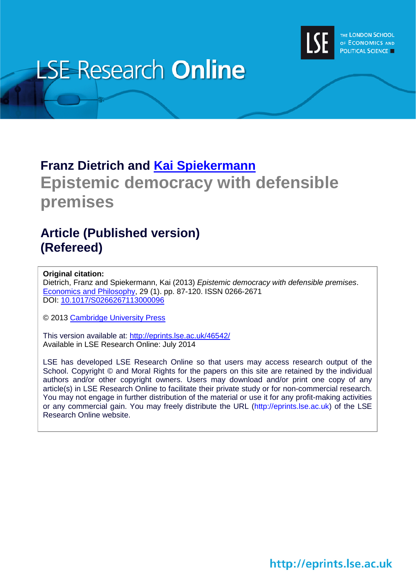

# **LSE Research Online**

# **Franz Dietrich and [Kai Spiekermann](http://www2.lse.ac.uk/researchAndExpertise/Experts/profile.aspx?KeyValue=k.spiekermann@lse.ac.uk) Epistemic democracy with defensible premises**

# **Article (Published version) (Refereed)**

#### **Original citation:**

Dietrich, Franz and Spiekermann, Kai (2013) *Epistemic democracy with defensible premises*. [Economics and Philosophy,](http://journals.cambridge.org/action/displayJournal?jid=EAP) 29 (1). pp. 87-120. ISSN 0266-2671 DOI: [10.1017/S0266267113000096](http://dx.doi.org/10.1017/S0266267113000096)

© 2013 [Cambridge University Press](http://journals.cambridge.org/)

This version available at:<http://eprints.lse.ac.uk/46542/> Available in LSE Research Online: July 2014

LSE has developed LSE Research Online so that users may access research output of the School. Copyright © and Moral Rights for the papers on this site are retained by the individual authors and/or other copyright owners. Users may download and/or print one copy of any article(s) in LSE Research Online to facilitate their private study or for non-commercial research. You may not engage in further distribution of the material or use it for any profit-making activities or any commercial gain. You may freely distribute the URL (http://eprints.lse.ac.uk) of the LSE Research Online website.

http://eprints.lse.ac.uk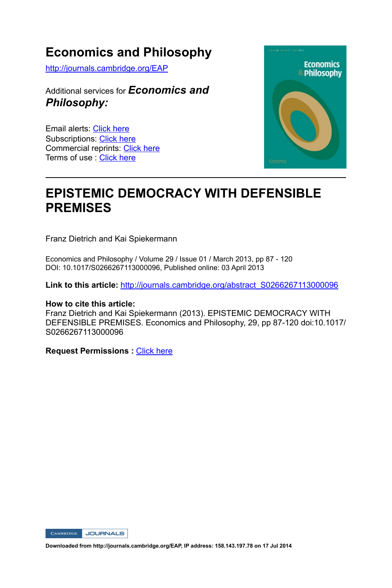## **Economics and Philosophy**

http://journals.cambridge.org/EAP

Additional services for *Economics and Philosophy:*

Email alerts: Click here Subscriptions: Click here Commercial reprints: Click here Terms of use : Click here



### **EPISTEMIC DEMOCRACY WITH DEFENSIBLE PREMISES**

Franz Dietrich and Kai Spiekermann

Economics and Philosophy / Volume 29 / Issue 01 / March 2013, pp 87 - 120 DOI: 10.1017/S0266267113000096, Published online: 03 April 2013

**Link to this article:** http://journals.cambridge.org/abstract\_S0266267113000096

#### **How to cite this article:**

Franz Dietrich and Kai Spiekermann (2013). EPISTEMIC DEMOCRACY WITH DEFENSIBLE PREMISES. Economics and Philosophy, 29, pp 87-120 doi:10.1017/ S0266267113000096

**Request Permissions :** Click here

CAMBRIDGE JOURNALS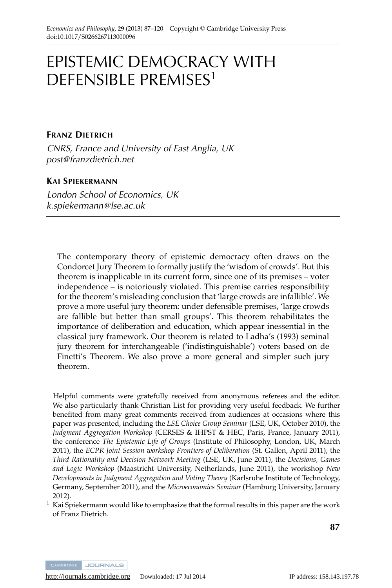# EPISTEMIC DEMOCRACY WITH DEFENSIBLE PREMISES1

#### **FRANZ DIETRICH**

CNRS, France and University of East Anglia, UK post@franzdietrich.net

#### **KAI SPIEKERMANN**

London School of Economics, UK k.spiekermann@lse.ac.uk

The contemporary theory of epistemic democracy often draws on the Condorcet Jury Theorem to formally justify the 'wisdom of crowds'. But this theorem is inapplicable in its current form, since one of its premises – voter independence – is notoriously violated. This premise carries responsibility for the theorem's misleading conclusion that 'large crowds are infallible'. We prove a more useful jury theorem: under defensible premises, 'large crowds are fallible but better than small groups'. This theorem rehabilitates the importance of deliberation and education, which appear inessential in the classical jury framework. Our theorem is related to Ladha's (1993) seminal jury theorem for interchangeable ('indistinguishable') voters based on de Finetti's Theorem. We also prove a more general and simpler such jury theorem.

Helpful comments were gratefully received from anonymous referees and the editor. We also particularly thank Christian List for providing very useful feedback. We further benefited from many great comments received from audiences at occasions where this paper was presented, including the *LSE Choice Group Seminar* (LSE, UK, October 2010), the *Judgment Aggregation Workshop* (CERSES & IHPST & HEC, Paris, France, January 2011), the conference *The Epistemic Life of Groups* (Institute of Philosophy, London, UK, March 2011), the *ECPR Joint Session workshop Frontiers of Deliberation* (St. Gallen, April 2011), the *Third Rationality and Decision Network Meeting* (LSE, UK, June 2011), the *Decisions, Games and Logic Workshop* (Maastricht University, Netherlands, June 2011), the workshop *New Developments in Judgment Aggregation and Voting Theory* (Karlsruhe Institute of Technology, Germany, September 2011), and the *Microeconomics Seminar* (Hamburg University, January 2012).

 $1$  Kai Spiekermann would like to emphasize that the formal results in this paper are the work of Franz Dietrich.

**87**

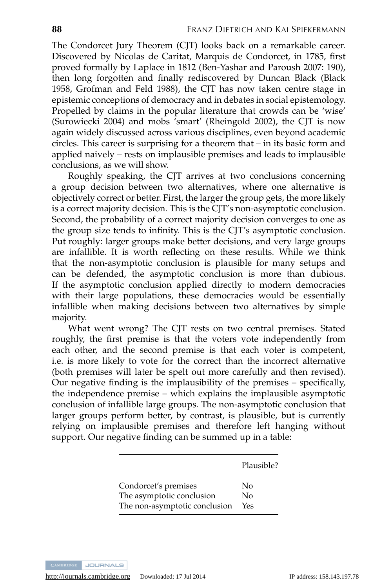The Condorcet Jury Theorem (CJT) looks back on a remarkable career. Discovered by Nicolas de Caritat, Marquis de Condorcet, in 1785, first proved formally by Laplace in 1812 (Ben-Yashar and Paroush 2007: 190), then long forgotten and finally rediscovered by Duncan Black (Black 1958, Grofman and Feld 1988), the CJT has now taken centre stage in epistemic conceptions of democracy and in debates in social epistemology. Propelled by claims in the popular literature that crowds can be 'wise' (Surowiecki 2004) and mobs 'smart' (Rheingold 2002), the CJT is now again widely discussed across various disciplines, even beyond academic circles. This career is surprising for a theorem that – in its basic form and applied naively – rests on implausible premises and leads to implausible conclusions, as we will show.

Roughly speaking, the CJT arrives at two conclusions concerning a group decision between two alternatives, where one alternative is objectively correct or better. First, the larger the group gets, the more likely is a correct majority decision. This is the CJT's non-asymptotic conclusion. Second, the probability of a correct majority decision converges to one as the group size tends to infinity. This is the CJT's asymptotic conclusion. Put roughly: larger groups make better decisions, and very large groups are infallible. It is worth reflecting on these results. While we think that the non-asymptotic conclusion is plausible for many setups and can be defended, the asymptotic conclusion is more than dubious. If the asymptotic conclusion applied directly to modern democracies with their large populations, these democracies would be essentially infallible when making decisions between two alternatives by simple majority.

What went wrong? The CJT rests on two central premises. Stated roughly, the first premise is that the voters vote independently from each other, and the second premise is that each voter is competent, i.e. is more likely to vote for the correct than the incorrect alternative (both premises will later be spelt out more carefully and then revised). Our negative finding is the implausibility of the premises – specifically, the independence premise – which explains the implausible asymptotic conclusion of infallible large groups. The non-asymptotic conclusion that larger groups perform better, by contrast, is plausible, but is currently relying on implausible premises and therefore left hanging without support. Our negative finding can be summed up in a table:

|                                                            | Plausible? |
|------------------------------------------------------------|------------|
| Condorcet's premises                                       | No         |
| The asymptotic conclusion<br>The non-asymptotic conclusion | Nο<br>Yes  |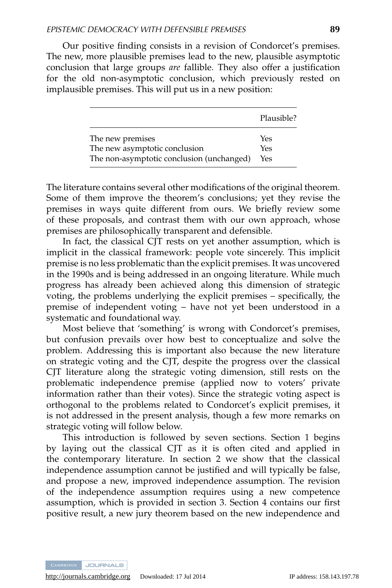Our positive finding consists in a revision of Condorcet's premises. The new, more plausible premises lead to the new, plausible asymptotic conclusion that large groups *are* fallible. They also offer a justification for the old non-asymptotic conclusion, which previously rested on implausible premises. This will put us in a new position:

|                                                   | Plausible? |
|---------------------------------------------------|------------|
| The new premises<br>The new asymptotic conclusion | Yes<br>Yes |
| The non-asymptotic conclusion (unchanged)         | Yes        |

The literature contains several other modifications of the original theorem. Some of them improve the theorem's conclusions; yet they revise the premises in ways quite different from ours. We briefly review some of these proposals, and contrast them with our own approach, whose premises are philosophically transparent and defensible.

In fact, the classical CJT rests on yet another assumption, which is implicit in the classical framework: people vote sincerely. This implicit premise is no less problematic than the explicit premises. It was uncovered in the 1990s and is being addressed in an ongoing literature. While much progress has already been achieved along this dimension of strategic voting, the problems underlying the explicit premises – specifically, the premise of independent voting – have not yet been understood in a systematic and foundational way.

Most believe that 'something' is wrong with Condorcet's premises, but confusion prevails over how best to conceptualize and solve the problem. Addressing this is important also because the new literature on strategic voting and the CJT, despite the progress over the classical CJT literature along the strategic voting dimension, still rests on the problematic independence premise (applied now to voters' private information rather than their votes). Since the strategic voting aspect is orthogonal to the problems related to Condorcet's explicit premises, it is not addressed in the present analysis, though a few more remarks on strategic voting will follow below.

This introduction is followed by seven sections. Section 1 begins by laying out the classical CJT as it is often cited and applied in the contemporary literature. In section 2 we show that the classical independence assumption cannot be justified and will typically be false, and propose a new, improved independence assumption. The revision of the independence assumption requires using a new competence assumption, which is provided in section 3. Section 4 contains our first positive result, a new jury theorem based on the new independence and

<http://journals.cambridge.org> Downloaded: 17 Jul 2014 IP address: 158.143.197.78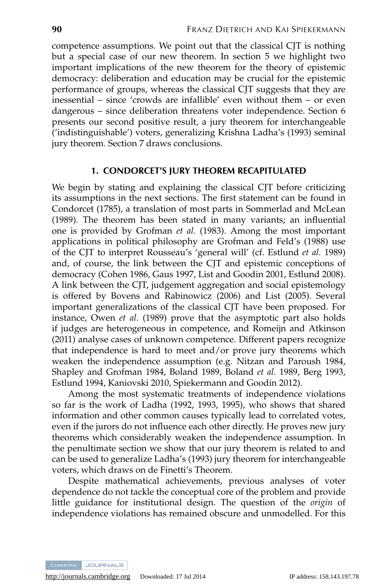competence assumptions. We point out that the classical CJT is nothing but a special case of our new theorem. In section 5 we highlight two important implications of the new theorem for the theory of epistemic democracy: deliberation and education may be crucial for the epistemic performance of groups, whereas the classical CJT suggests that they are inessential – since 'crowds are infallible' even without them – or even dangerous – since deliberation threatens voter independence. Section 6 presents our second positive result, a jury theorem for interchangeable ('indistinguishable') voters, generalizing Krishna Ladha's (1993) seminal jury theorem. Section 7 draws conclusions.

#### **1. CONDORCET'S JURY THEOREM RECAPITULATED**

We begin by stating and explaining the classical CJT before criticizing its assumptions in the next sections. The first statement can be found in Condorcet (1785), a translation of most parts in Sommerlad and McLean (1989). The theorem has been stated in many variants; an influential one is provided by Grofman *et al.* (1983). Among the most important applications in political philosophy are Grofman and Feld's (1988) use of the CJT to interpret Rousseau's 'general will' (cf. Estlund *et al.* 1989) and, of course, the link between the CJT and epistemic conceptions of democracy (Cohen 1986, Gaus 1997, List and Goodin 2001, Estlund 2008). A link between the CJT, judgement aggregation and social epistemology is offered by Bovens and Rabinowicz (2006) and List (2005). Several important generalizations of the classical CJT have been proposed. For instance, Owen *et al.* (1989) prove that the asymptotic part also holds if judges are heterogeneous in competence, and Romeijn and Atkinson (2011) analyse cases of unknown competence. Different papers recognize that independence is hard to meet and/or prove jury theorems which weaken the independence assumption (e.g. Nitzan and Paroush 1984, Shapley and Grofman 1984, Boland 1989, Boland *et al.* 1989, Berg 1993, Estlund 1994, Kaniovski 2010, Spiekermann and Goodin 2012).

Among the most systematic treatments of independence violations so far is the work of Ladha (1992, 1993, 1995), who shows that shared information and other common causes typically lead to correlated votes, even if the jurors do not influence each other directly. He proves new jury theorems which considerably weaken the independence assumption. In the penultimate section we show that our jury theorem is related to and can be used to generalize Ladha's (1993) jury theorem for interchangeable voters, which draws on de Finetti's Theorem.

Despite mathematical achievements, previous analyses of voter dependence do not tackle the conceptual core of the problem and provide little guidance for institutional design. The question of the *origin* of independence violations has remained obscure and unmodelled. For this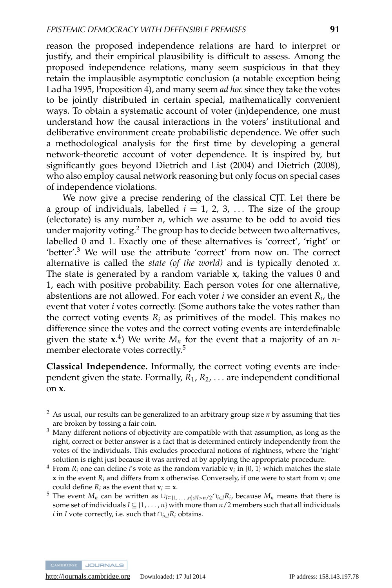reason the proposed independence relations are hard to interpret or justify, and their empirical plausibility is difficult to assess. Among the proposed independence relations, many seem suspicious in that they retain the implausible asymptotic conclusion (a notable exception being Ladha 1995, Proposition 4), and many seem *ad hoc* since they take the votes to be jointly distributed in certain special, mathematically convenient ways. To obtain a systematic account of voter (in)dependence, one must understand how the causal interactions in the voters' institutional and deliberative environment create probabilistic dependence. We offer such a methodological analysis for the first time by developing a general network-theoretic account of voter dependence. It is inspired by, but significantly goes beyond Dietrich and List (2004) and Dietrich (2008), who also employ causal network reasoning but only focus on special cases of independence violations.

We now give a precise rendering of the classical CJT. Let there be a group of individuals, labelled  $i = 1, 2, 3, \ldots$  The size of the group (electorate) is any number *n*, which we assume to be odd to avoid ties under majority voting.<sup>2</sup> The group has to decide between two alternatives, labelled 0 and 1. Exactly one of these alternatives is 'correct', 'right' or 'better'.<sup>3</sup> We will use the attribute 'correct' from now on. The correct alternative is called the *state (of the world)* and is typically denoted *x*. The state is generated by a random variable **x**, taking the values 0 and 1, each with positive probability. Each person votes for one alternative, abstentions are not allowed. For each voter *i* we consider an event *Ri*, the event that voter *i* votes correctly. (Some authors take the votes rather than the correct voting events  $R_i$  as primitives of the model. This makes no difference since the votes and the correct voting events are interdefinable given the state  $x^4$ ) We write  $M_n$  for the event that a majority of an *n*member electorate votes correctly.5

**Classical Independence.** Informally, the correct voting events are independent given the state. Formally, *R*1, *R*2, ... are independent conditional on **x**.

- <sup>2</sup> As usual, our results can be generalized to an arbitrary group size *n* by assuming that ties are broken by tossing a fair coin.
- <sup>3</sup> Many different notions of objectivity are compatible with that assumption, as long as the right, correct or better answer is a fact that is determined entirely independently from the votes of the individuals. This excludes procedural notions of rightness, where the 'right' solution is right just because it was arrived at by applying the appropriate procedure.
- <sup>4</sup> From  $R_i$  one can define *i*'s vote as the random variable  $\mathbf{v}_i$  in {0, 1} which matches the state **x** in the event *R<sub>i</sub>* and differs from **x** otherwise. Conversely, if one were to start from **v**<sub>*i*</sub> one could define *R<sub>i</sub>* as the event that **v**<sub>*i*</sub> = **x**.
- <sup>5</sup> The event  $M_n$  can be written as  $\cup_{I \subseteq \{1, \ldots, n\}: \#I > n/2} \cap_{i \in I} R_i$ , because  $M_n$  means that there is some set of individuals  $I \subseteq \{1, \ldots, n\}$  with more than  $n/2$  members such that all individuals *i* in *I* vote correctly, i.e. such that  $\bigcap_{i \in I} R_i$  obtains.

CAMBRIDGE JOURNALS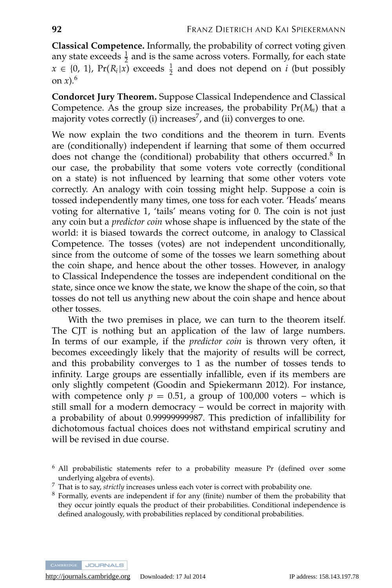**Classical Competence.** Informally, the probability of correct voting given any state exceeds  $\frac{1}{2}$  and is the same across voters. Formally, for each state  $x \in \{0, 1\}$ , Pr( $R_i|x$ ) exceeds  $\frac{1}{2}$  and does not depend on *i* (but possibly on  $x$ ).<sup>6</sup>

**Condorcet Jury Theorem.** Suppose Classical Independence and Classical Competence. As the group size increases, the probability  $Pr(M_n)$  that a majority votes correctly (i) increases<sup>7</sup>, and (ii) converges to one.

We now explain the two conditions and the theorem in turn. Events are (conditionally) independent if learning that some of them occurred does not change the (conditional) probability that others occurred.<sup>8</sup> In our case, the probability that some voters vote correctly (conditional on a state) is not influenced by learning that some other voters vote correctly. An analogy with coin tossing might help. Suppose a coin is tossed independently many times, one toss for each voter. 'Heads' means voting for alternative 1, 'tails' means voting for 0. The coin is not just any coin but a *predictor coin* whose shape is influenced by the state of the world: it is biased towards the correct outcome, in analogy to Classical Competence. The tosses (votes) are not independent unconditionally, since from the outcome of some of the tosses we learn something about the coin shape, and hence about the other tosses. However, in analogy to Classical Independence the tosses are independent conditional on the state, since once we know the state, we know the shape of the coin, so that tosses do not tell us anything new about the coin shape and hence about other tosses.

With the two premises in place, we can turn to the theorem itself. The CJT is nothing but an application of the law of large numbers. In terms of our example, if the *predictor coin* is thrown very often, it becomes exceedingly likely that the majority of results will be correct, and this probability converges to 1 as the number of tosses tends to infinity. Large groups are essentially infallible, even if its members are only slightly competent (Goodin and Spiekermann 2012). For instance, with competence only  $p = 0.51$ , a group of 100,000 voters – which is still small for a modern democracy – would be correct in majority with a probability of about 0.99999999987. This prediction of infallibility for dichotomous factual choices does not withstand empirical scrutiny and will be revised in due course.

<sup>6</sup> All probabilistic statements refer to a probability measure Pr (defined over some underlying algebra of events).

<sup>7</sup> That is to say, *strictly* increases unless each voter is correct with probability one.

<sup>8</sup> Formally, events are independent if for any (finite) number of them the probability that they occur jointly equals the product of their probabilities. Conditional independence is defined analogously, with probabilities replaced by conditional probabilities.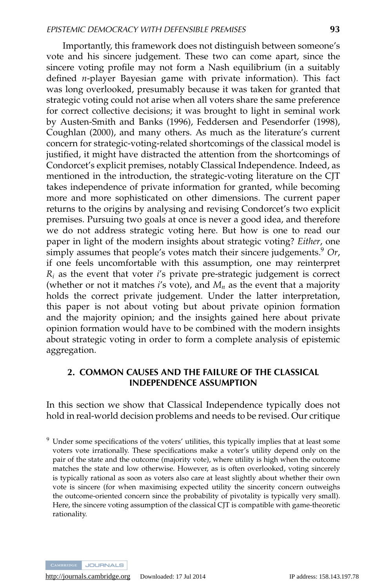Importantly, this framework does not distinguish between someone's vote and his sincere judgement. These two can come apart, since the sincere voting profile may not form a Nash equilibrium (in a suitably defined *n*-player Bayesian game with private information). This fact was long overlooked, presumably because it was taken for granted that strategic voting could not arise when all voters share the same preference for correct collective decisions; it was brought to light in seminal work by Austen-Smith and Banks (1996), Feddersen and Pesendorfer (1998), Coughlan (2000), and many others. As much as the literature's current concern for strategic-voting-related shortcomings of the classical model is justified, it might have distracted the attention from the shortcomings of Condorcet's explicit premises, notably Classical Independence. Indeed, as mentioned in the introduction, the strategic-voting literature on the CJT takes independence of private information for granted, while becoming more and more sophisticated on other dimensions. The current paper returns to the origins by analysing and revising Condorcet's two explicit premises. Pursuing two goals at once is never a good idea, and therefore we do not address strategic voting here. But how is one to read our paper in light of the modern insights about strategic voting? *Either*, one simply assumes that people's votes match their sincere judgements.<sup>9</sup> Or, if one feels uncomfortable with this assumption, one may reinterpret *Ri* as the event that voter *i*'s private pre-strategic judgement is correct (whether or not it matches *i*'s vote), and  $M_n$  as the event that a majority holds the correct private judgement. Under the latter interpretation, this paper is not about voting but about private opinion formation and the majority opinion; and the insights gained here about private opinion formation would have to be combined with the modern insights about strategic voting in order to form a complete analysis of epistemic aggregation.

#### **2. COMMON CAUSES AND THE FAILURE OF THE CLASSICAL INDEPENDENCE ASSUMPTION**

In this section we show that Classical Independence typically does not hold in real-world decision problems and needs to be revised. Our critique

<sup>9</sup> Under some specifications of the voters' utilities, this typically implies that at least some voters vote irrationally. These specifications make a voter's utility depend only on the pair of the state and the outcome (majority vote), where utility is high when the outcome matches the state and low otherwise. However, as is often overlooked, voting sincerely is typically rational as soon as voters also care at least slightly about whether their own vote is sincere (for when maximising expected utility the sincerity concern outweighs the outcome-oriented concern since the probability of pivotality is typically very small). Here, the sincere voting assumption of the classical CJT is compatible with game-theoretic rationality.

 $\textbf{CAMBRIDGE}$ **JOURNALS** 

<http://journals.cambridge.org> Downloaded: 17 Jul 2014 IP address: 158.143.197.78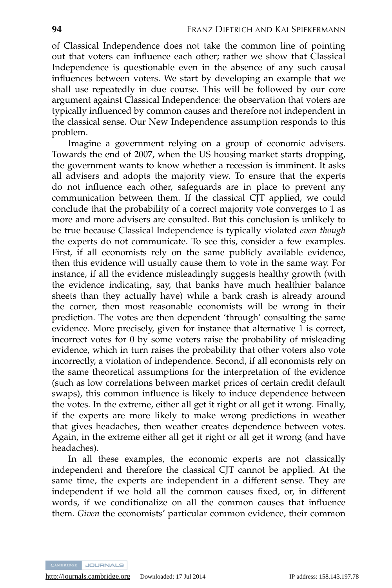of Classical Independence does not take the common line of pointing out that voters can influence each other; rather we show that Classical Independence is questionable even in the absence of any such causal influences between voters. We start by developing an example that we shall use repeatedly in due course. This will be followed by our core argument against Classical Independence: the observation that voters are typically influenced by common causes and therefore not independent in the classical sense. Our New Independence assumption responds to this problem.

Imagine a government relying on a group of economic advisers. Towards the end of 2007, when the US housing market starts dropping, the government wants to know whether a recession is imminent. It asks all advisers and adopts the majority view. To ensure that the experts do not influence each other, safeguards are in place to prevent any communication between them. If the classical CJT applied, we could conclude that the probability of a correct majority vote converges to 1 as more and more advisers are consulted. But this conclusion is unlikely to be true because Classical Independence is typically violated *even though* the experts do not communicate. To see this, consider a few examples. First, if all economists rely on the same publicly available evidence, then this evidence will usually cause them to vote in the same way. For instance, if all the evidence misleadingly suggests healthy growth (with the evidence indicating, say, that banks have much healthier balance sheets than they actually have) while a bank crash is already around the corner, then most reasonable economists will be wrong in their prediction. The votes are then dependent 'through' consulting the same evidence. More precisely, given for instance that alternative 1 is correct, incorrect votes for 0 by some voters raise the probability of misleading evidence, which in turn raises the probability that other voters also vote incorrectly, a violation of independence. Second, if all economists rely on the same theoretical assumptions for the interpretation of the evidence (such as low correlations between market prices of certain credit default swaps), this common influence is likely to induce dependence between the votes. In the extreme, either all get it right or all get it wrong. Finally, if the experts are more likely to make wrong predictions in weather that gives headaches, then weather creates dependence between votes. Again, in the extreme either all get it right or all get it wrong (and have headaches).

In all these examples, the economic experts are not classically independent and therefore the classical CJT cannot be applied. At the same time, the experts are independent in a different sense. They are independent if we hold all the common causes fixed, or, in different words, if we conditionalize on all the common causes that influence them. *Given* the economists' particular common evidence, their common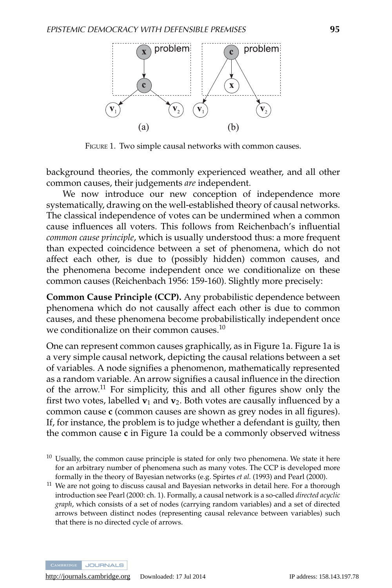

FIGURE 1. Two simple causal networks with common causes.

background theories, the commonly experienced weather, and all other common causes, their judgements *are* independent.

We now introduce our new conception of independence more systematically, drawing on the well-established theory of causal networks. The classical independence of votes can be undermined when a common cause influences all voters. This follows from Reichenbach's influential *common cause principle*, which is usually understood thus: a more frequent than expected coincidence between a set of phenomena, which do not affect each other, is due to (possibly hidden) common causes, and the phenomena become independent once we conditionalize on these common causes (Reichenbach 1956: 159-160). Slightly more precisely:

**Common Cause Principle (CCP).** Any probabilistic dependence between phenomena which do not causally affect each other is due to common causes, and these phenomena become probabilistically independent once we conditionalize on their common causes.<sup>10</sup>

One can represent common causes graphically, as in Figure 1a. Figure 1a is a very simple causal network, depicting the causal relations between a set of variables. A node signifies a phenomenon, mathematically represented as a random variable. An arrow signifies a causal influence in the direction of the arrow.<sup>11</sup> For simplicity, this and all other figures show only the first two votes, labelled  $v_1$  and  $v_2$ . Both votes are causally influenced by a common cause **c** (common causes are shown as grey nodes in all figures). If, for instance, the problem is to judge whether a defendant is guilty, then the common cause **c** in Figure 1a could be a commonly observed witness

 $10$  Usually, the common cause principle is stated for only two phenomena. We state it here for an arbitrary number of phenomena such as many votes. The CCP is developed more formally in the theory of Bayesian networks (e.g. Spirtes *et al.* (1993) and Pearl (2000).

 $11$  We are not going to discuss causal and Bayesian networks in detail here. For a thorough introduction see Pearl (2000: ch. 1). Formally, a causal network is a so-called *directed acyclic graph*, which consists of a set of nodes (carrying random variables) and a set of directed arrows between distinct nodes (representing causal relevance between variables) such that there is no directed cycle of arrows.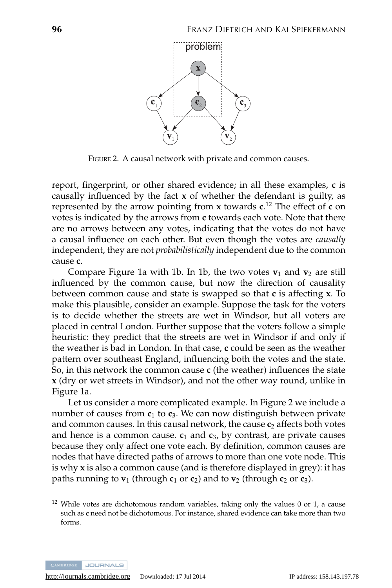

FIGURE 2. A causal network with private and common causes.

report, fingerprint, or other shared evidence; in all these examples, **c** is causally influenced by the fact **x** of whether the defendant is guilty, as represented by the arrow pointing from **x** towards **c**. <sup>12</sup> The effect of **c** on votes is indicated by the arrows from **c** towards each vote. Note that there are no arrows between any votes, indicating that the votes do not have a causal influence on each other. But even though the votes are *causally* independent, they are not *probabilistically* independent due to the common cause **c**.

Compare Figure 1a with 1b. In 1b, the two votes  $v_1$  and  $v_2$  are still influenced by the common cause, but now the direction of causality between common cause and state is swapped so that **c** is affecting **x**. To make this plausible, consider an example. Suppose the task for the voters is to decide whether the streets are wet in Windsor, but all voters are placed in central London. Further suppose that the voters follow a simple heuristic: they predict that the streets are wet in Windsor if and only if the weather is bad in London. In that case, **c** could be seen as the weather pattern over southeast England, influencing both the votes and the state. So, in this network the common cause **c** (the weather) influences the state **x** (dry or wet streets in Windsor), and not the other way round, unlike in Figure 1a.

Let us consider a more complicated example. In Figure 2 we include a number of causes from  $c_1$  to  $c_3$ . We can now distinguish between private and common causes. In this causal network, the cause  $c_2$  affects both votes and hence is a common cause.  $c_1$  and  $c_3$ , by contrast, are private causes because they only affect one vote each. By definition, common causes are nodes that have directed paths of arrows to more than one vote node. This is why **x** is also a common cause (and is therefore displayed in grey): it has paths running to  $\mathbf{v}_1$  (through  $\mathbf{c}_1$  or  $\mathbf{c}_2$ ) and to  $\mathbf{v}_2$  (through  $\mathbf{c}_2$  or  $\mathbf{c}_3$ ).

 $12$  While votes are dichotomous random variables, taking only the values 0 or 1, a cause such as **c** need not be dichotomous. For instance, shared evidence can take more than two forms.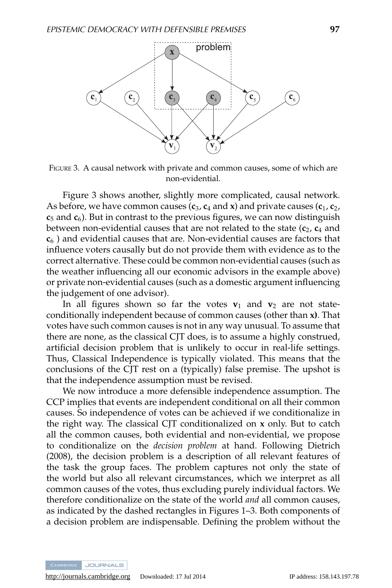

FIGURE 3. A causal network with private and common causes, some of which are non-evidential.

Figure 3 shows another, slightly more complicated, causal network. As before, we have common causes  $(c_3, c_4 \text{ and } x)$  and private causes  $(c_1, c_2,$  $c<sub>5</sub>$  and  $c<sub>6</sub>$ ). But in contrast to the previous figures, we can now distinguish between non-evidential causes that are not related to the state  $(c_2, c_4, c_5)$ **c**<sup>6</sup> ) and evidential causes that are. Non-evidential causes are factors that influence voters causally but do not provide them with evidence as to the correct alternative. These could be common non-evidential causes (such as the weather influencing all our economic advisors in the example above) or private non-evidential causes (such as a domestic argument influencing the judgement of one advisor).

In all figures shown so far the votes  $v_1$  and  $v_2$  are not stateconditionally independent because of common causes (other than **x)**. That votes have such common causes is not in any way unusual. To assume that there are none, as the classical CJT does, is to assume a highly construed, artificial decision problem that is unlikely to occur in real-life settings. Thus, Classical Independence is typically violated. This means that the conclusions of the CJT rest on a (typically) false premise. The upshot is that the independence assumption must be revised.

We now introduce a more defensible independence assumption. The CCP implies that events are independent conditional on all their common causes. So independence of votes can be achieved if we conditionalize in the right way. The classical CJT conditionalized on **x** only. But to catch all the common causes, both evidential and non-evidential, we propose to conditionalize on the *decision problem* at hand. Following Dietrich (2008), the decision problem is a description of all relevant features of the task the group faces. The problem captures not only the state of the world but also all relevant circumstances, which we interpret as all common causes of the votes, thus excluding purely individual factors. We therefore conditionalize on the state of the world *and* all common causes, as indicated by the dashed rectangles in Figures 1–3. Both components of a decision problem are indispensable. Defining the problem without the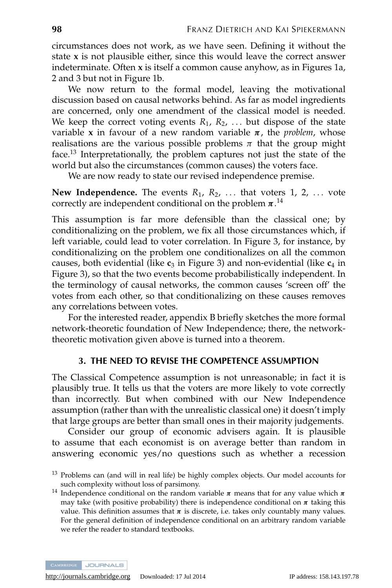circumstances does not work, as we have seen. Defining it without the state **x** is not plausible either, since this would leave the correct answer indeterminate. Often **x** is itself a common cause anyhow, as in Figures 1a, 2 and 3 but not in Figure 1b.

We now return to the formal model, leaving the motivational discussion based on causal networks behind. As far as model ingredients are concerned, only one amendment of the classical model is needed. We keep the correct voting events  $R_1, R_2, \ldots$  but dispose of the state variable **x** in favour of a new random variable *π*, the *problem*, whose realisations are the various possible problems  $\pi$  that the group might face.<sup>13</sup> Interpretationally, the problem captures not just the state of the world but also the circumstances (common causes) the voters face.

We are now ready to state our revised independence premise.

**New Independence.** The events  $R_1$ ,  $R_2$ , ... that voters 1, 2, ... vote correctly are independent conditional on the problem *π*. 14

This assumption is far more defensible than the classical one; by conditionalizing on the problem, we fix all those circumstances which, if left variable, could lead to voter correlation. In Figure 3, for instance, by conditionalizing on the problem one conditionalizes on all the common causes, both evidential (like **c**<sup>3</sup> in Figure 3) and non-evidential (like **c**<sup>4</sup> in Figure 3), so that the two events become probabilistically independent. In the terminology of causal networks, the common causes 'screen off' the votes from each other, so that conditionalizing on these causes removes any correlations between votes.

For the interested reader, appendix B briefly sketches the more formal network-theoretic foundation of New Independence; there, the networktheoretic motivation given above is turned into a theorem.

#### **3. THE NEED TO REVISE THE COMPETENCE ASSUMPTION**

The Classical Competence assumption is not unreasonable; in fact it is plausibly true. It tells us that the voters are more likely to vote correctly than incorrectly. But when combined with our New Independence assumption (rather than with the unrealistic classical one) it doesn't imply that large groups are better than small ones in their majority judgements.

Consider our group of economic advisers again. It is plausible to assume that each economist is on average better than random in answering economic yes/no questions such as whether a recession

<sup>&</sup>lt;sup>13</sup> Problems can (and will in real life) be highly complex objects. Our model accounts for such complexity without loss of parsimony.

<sup>&</sup>lt;sup>14</sup> Independence conditional on the random variable  $\pi$  means that for any value which  $\pi$ may take (with positive probability) there is independence conditional on  $\pi$  taking this value. This definition assumes that  $\pi$  is discrete, i.e. takes only countably many values. For the general definition of independence conditional on an arbitrary random variable we refer the reader to standard textbooks.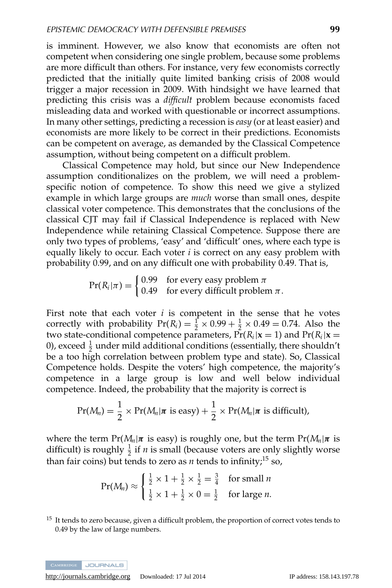is imminent. However, we also know that economists are often not competent when considering one single problem, because some problems are more difficult than others. For instance, very few economists correctly predicted that the initially quite limited banking crisis of 2008 would trigger a major recession in 2009. With hindsight we have learned that predicting this crisis was a *difficult* problem because economists faced misleading data and worked with questionable or incorrect assumptions. In many other settings, predicting a recession is *easy* (or at least easier) and economists are more likely to be correct in their predictions. Economists can be competent on average, as demanded by the Classical Competence assumption, without being competent on a difficult problem.

Classical Competence may hold, but since our New Independence assumption conditionalizes on the problem, we will need a problemspecific notion of competence. To show this need we give a stylized example in which large groups are *much* worse than small ones, despite classical voter competence. This demonstrates that the conclusions of the classical CJT may fail if Classical Independence is replaced with New Independence while retaining Classical Competence. Suppose there are only two types of problems, 'easy' and 'difficult' ones, where each type is equally likely to occur. Each voter *i* is correct on any easy problem with probability 0.99, and on any difficult one with probability 0.49. That is,

$$
Pr(R_i|\pi) = \begin{cases} 0.99 & \text{for every easy problem } \pi \\ 0.49 & \text{for every difficult problem } \pi. \end{cases}
$$

First note that each voter *i* is competent in the sense that he votes correctly with probability  $Pr(R_i) = \frac{1}{2} \times 0.99 + \frac{1}{2} \times 0.49 = 0.74$ . Also the two state-conditional competence parameters,  $Pr(R_i|\mathbf{x} = 1)$  and  $Pr(R_i|\mathbf{x} = 1)$ 0), exceed  $\frac{1}{2}$  under mild additional conditions (essentially, there shouldn't be a too high correlation between problem type and state). So, Classical Competence holds. Despite the voters' high competence, the majority's competence in a large group is low and well below individual competence. Indeed, the probability that the majority is correct is

$$
Pr(M_n) = \frac{1}{2} \times Pr(M_n | \pi \text{ is easy}) + \frac{1}{2} \times Pr(M_n | \pi \text{ is difficult}),
$$

where the term  $Pr(M_n|\pi)$  is easy) is roughly one, but the term  $Pr(M_n|\pi)$  is difficult) is roughly  $\frac{1}{2}$  if *n* is small (because voters are only slightly worse than fair coins) but tends to zero as  $n$  tends to infinity;<sup>15</sup> so,

$$
\Pr(M_n) \approx \begin{cases} \frac{1}{2} \times 1 + \frac{1}{2} \times \frac{1}{2} = \frac{3}{4} & \text{for small } n \\ \frac{1}{2} \times 1 + \frac{1}{2} \times 0 = \frac{1}{2} & \text{for large } n. \end{cases}
$$

CAMBRIDGE JOURNALS

<http://journals.cambridge.org> Downloaded: 17 Jul 2014 IP address: 158.143.197.78

<sup>&</sup>lt;sup>15</sup> It tends to zero because, given a difficult problem, the proportion of correct votes tends to 0.49 by the law of large numbers.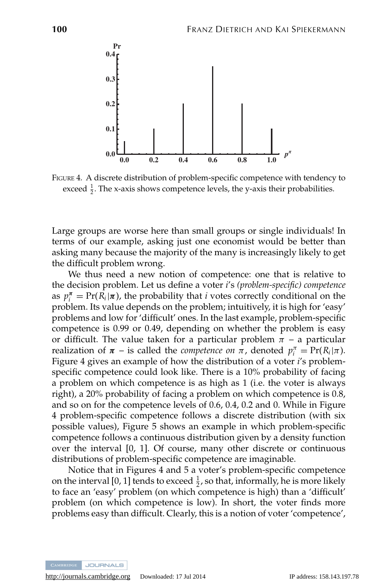

FIGURE 4. A discrete distribution of problem-specific competence with tendency to exceed  $\frac{1}{2}$ . The x-axis shows competence levels, the y-axis their probabilities.

Large groups are worse here than small groups or single individuals! In terms of our example, asking just one economist would be better than asking many because the majority of the many is increasingly likely to get the difficult problem wrong.

We thus need a new notion of competence: one that is relative to the decision problem. Let us define a voter *i*'s *(problem-specific) competence* as  $p_i^{\pi} = \Pr(R_i | \pi)$ , the probability that *i* votes correctly conditional on the problem. Its value depends on the problem; intuitively, it is high for 'easy' problems and low for 'difficult' ones. In the last example, problem-specific competence is 0.99 or 0.49, depending on whether the problem is easy or difficult. The value taken for a particular problem  $\pi$  – a particular realization of  $\pi$  – is called the *competence on*  $\pi$ , denoted  $p_i^{\pi} = \Pr(R_i | \pi)$ . Figure 4 gives an example of how the distribution of a voter *i*'s problemspecific competence could look like. There is a 10% probability of facing a problem on which competence is as high as 1 (i.e. the voter is always right), a 20% probability of facing a problem on which competence is 0.8, and so on for the competence levels of 0.6, 0.4, 0.2 and 0. While in Figure 4 problem-specific competence follows a discrete distribution (with six possible values), Figure 5 shows an example in which problem-specific competence follows a continuous distribution given by a density function over the interval [0, 1]. Of course, many other discrete or continuous distributions of problem-specific competence are imaginable.

Notice that in Figures 4 and 5 a voter's problem-specific competence on the interval [0, 1] tends to exceed  $\frac{1}{2}$ , so that, informally, he is more likely to face an 'easy' problem (on which competence is high) than a 'difficult' problem (on which competence is low). In short, the voter finds more problems easy than difficult. Clearly, this is a notion of voter 'competence',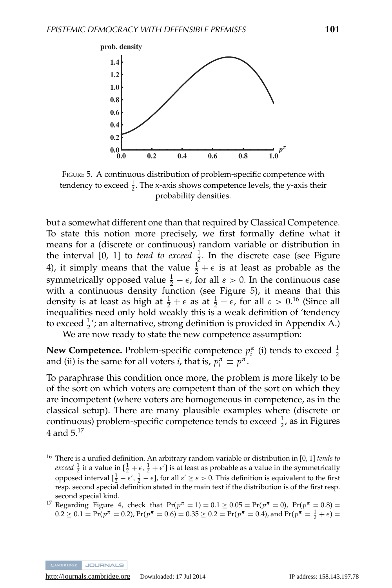

FIGURE 5. A continuous distribution of problem-specific competence with tendency to exceed  $\frac{1}{2}$ . The x-axis shows competence levels, the y-axis their probability densities.

but a somewhat different one than that required by Classical Competence. To state this notion more precisely, we first formally define what it means for a (discrete or continuous) random variable or distribution in the interval [0, 1] to *tend to exceed*  $\frac{1}{2}$ . In the discrete case (see Figure 4), it simply means that the value  $\frac{1}{2} + \epsilon$  is at least as probable as the symmetrically opposed value  $\frac{1}{2} - \epsilon$ , for all  $\varepsilon > 0$ . In the continuous case with a continuous density function (see Figure 5), it means that this density is at least as high at  $\frac{1}{2} + \epsilon$  as at  $\frac{1}{2} - \epsilon$ , for all  $\epsilon > 0.16$  (Since all inequalities need only hold weakly this is a weak definition of 'tendency to exceed  $\frac{1}{2}$ ; an alternative, strong definition is provided in Appendix A.)

We are now ready to state the new competence assumption:

**New Competence.** Problem-specific competence  $p_i^{\pi}$  (i) tends to exceed  $\frac{1}{2}$ and (ii) is the same for all voters *i*, that is,  $p_i^{\pi} \equiv p^{\pi}$ .

To paraphrase this condition once more, the problem is more likely to be of the sort on which voters are competent than of the sort on which they are incompetent (where voters are homogeneous in competence, as in the classical setup). There are many plausible examples where (discrete or continuous) problem-specific competence tends to exceed  $\frac{1}{2}$ , as in Figures 4 and 5.<sup>17</sup>

<sup>16</sup> There is a unified definition. An arbitrary random variable or distribution in [0, 1] *tends to exceed*  $\frac{1}{2}$  if a value in  $[\frac{1}{2} + \epsilon, \frac{1}{2} + \epsilon']$  is at least as probable as a value in the symmetrically opposed interval  $[\frac{1}{2} - \epsilon', \frac{1}{2} - \epsilon]$ , for all  $\epsilon' \ge \epsilon > 0$ . This definition is equivalent to the first resp. second special definition stated in the main text if the distribution is of the first resp. second special kind.

<sup>&</sup>lt;sup>17</sup> Regarding Figure 4, check that  $Pr(p^{\pi} = 1) = 0.1 \ge 0.05 = Pr(p^{\pi} = 0)$ ,  $Pr(p^{\pi} = 0.8) =$  $0.2 \ge 0.1 = \Pr(p^{\pi} = 0.2)$ ,  $\Pr(p^{\pi} = 0.6) = 0.35 \ge 0.2 = \Pr(p^{\pi} = 0.4)$ , and  $\Pr(p^{\pi} = \frac{1}{2} + \epsilon) =$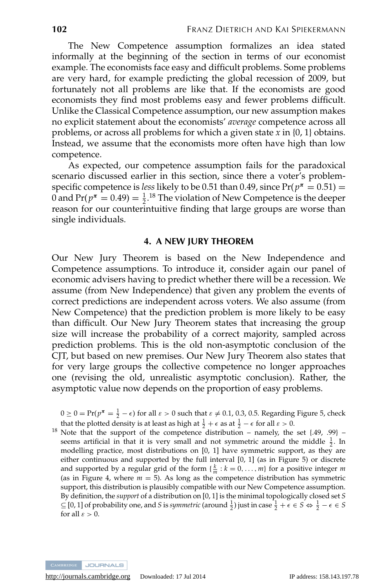The New Competence assumption formalizes an idea stated informally at the beginning of the section in terms of our economist example. The economists face easy and difficult problems. Some problems are very hard, for example predicting the global recession of 2009, but fortunately not all problems are like that. If the economists are good economists they find most problems easy and fewer problems difficult. Unlike the Classical Competence assumption, our new assumption makes no explicit statement about the economists' *average* competence across all problems, or across all problems for which a given state *x* in {0, 1} obtains. Instead, we assume that the economists more often have high than low competence.

As expected, our competence assumption fails for the paradoxical scenario discussed earlier in this section, since there a voter's problemspecific competence is *less* likely to be 0.51 than 0.49, since  $Pr(p^{\pi} = 0.51)$  = 0 and  $Pr(p^{\pi} = 0.49) = \frac{1}{2}^{1.18}$  The violation of New Competence is the deeper reason for our counterintuitive finding that large groups are worse than single individuals.

#### **4. A NEW JURY THEOREM**

Our New Jury Theorem is based on the New Independence and Competence assumptions. To introduce it, consider again our panel of economic advisers having to predict whether there will be a recession. We assume (from New Independence) that given any problem the events of correct predictions are independent across voters. We also assume (from New Competence) that the prediction problem is more likely to be easy than difficult. Our New Jury Theorem states that increasing the group size will increase the probability of a correct majority, sampled across prediction problems. This is the old non-asymptotic conclusion of the CJT, but based on new premises. Our New Jury Theorem also states that for very large groups the collective competence no longer approaches one (revising the old, unrealistic asymptotic conclusion). Rather, the asymptotic value now depends on the proportion of easy problems.

 $0 \ge 0 = \Pr(p^{\pi} = \frac{1}{2} - \epsilon)$  for all  $\varepsilon > 0$  such that  $\varepsilon \ne 0.1$ , 0.3, 0.5. Regarding Figure 5, check that the plotted density is at least as high at  $\frac{1}{2} + \epsilon$  as at  $\frac{1}{2}$ 

<sup>18</sup> Note that the support of the competence distribution – namely, the set  $\{.49, .99\}$  – seems artificial in that it is very small and not symmetric around the middle  $\frac{1}{2}$ . In modelling practice, most distributions on [0, 1] have symmetric support, as they are either continuous and supported by the full interval [0, 1] (as in Figure 5) or discrete and supported by a regular grid of the form  $\{\frac{k}{m} : k = 0, \ldots, m\}$  for a positive integer *m* (as in Figure 4, where  $m = 5$ ). As long as the competence distribution has symmetric support, this distribution is plausibly compatible with our New Competence assumption. By definition, the *support* of a distribution on [0, 1] is the minimal topologically closed set *S* ⊆ [0, 1] of probability one, and *S* is *symmetric* (around  $\frac{1}{2}$ ) just in case  $\frac{1}{2} + \epsilon \in S \Leftrightarrow \frac{1}{2} - \epsilon \in S$ for all  $\varepsilon > 0$ .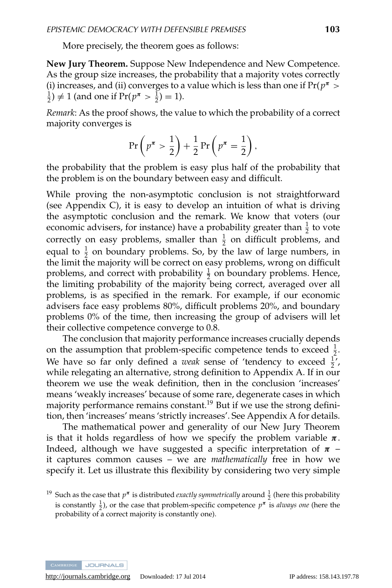More precisely, the theorem goes as follows:

**New Jury Theorem.** Suppose New Independence and New Competence. As the group size increases, the probability that a majority votes correctly (i) increases, and (ii) converges to a value which is less than one if  $Pr(p^{\pi} >$  $(\frac{1}{2}) \neq 1$  (and one if  $Pr(p^{\pi} > \frac{1}{2}) = 1$ ).

*Remark*: As the proof shows, the value to which the probability of a correct majority converges is

$$
\Pr\left(p^{\pi} > \frac{1}{2}\right) + \frac{1}{2}\Pr\left(p^{\pi} = \frac{1}{2}\right),\
$$

the probability that the problem is easy plus half of the probability that the problem is on the boundary between easy and difficult.

While proving the non-asymptotic conclusion is not straightforward (see Appendix C), it is easy to develop an intuition of what is driving the asymptotic conclusion and the remark. We know that voters (our economic advisers, for instance) have a probability greater than  $\frac{1}{2}$  to vote correctly on easy problems, smaller than  $\frac{1}{2}$  on difficult problems, and equal to  $\frac{1}{2}$  on boundary problems. So, by the law of large numbers, in the limit the majority will be correct on easy problems, wrong on difficult problems, and correct with probability  $\frac{1}{2}$  on boundary problems. Hence, the limiting probability of the majority being correct, averaged over all problems, is as specified in the remark. For example, if our economic advisers face easy problems 80%, difficult problems 20%, and boundary problems 0% of the time, then increasing the group of advisers will let their collective competence converge to 0.8.

The conclusion that majority performance increases crucially depends on the assumption that problem-specific competence tends to exceed  $\frac{1}{2}$ . We have so far only defined a *weak* sense of 'tendency to exceed  $\frac{1}{2}$ ', while relegating an alternative, strong definition to Appendix A. If in our theorem we use the weak definition, then in the conclusion 'increases' means 'weakly increases' because of some rare, degenerate cases in which majority performance remains constant.<sup>19</sup> But if we use the strong definition, then 'increases' means 'strictly increases'. See Appendix A for details.

The mathematical power and generality of our New Jury Theorem is that it holds regardless of how we specify the problem variable *π*. Indeed, although we have suggested a specific interpretation of *π* – it captures common causes – we are *mathematically* free in how we specify it. Let us illustrate this flexibility by considering two very simple

<sup>&</sup>lt;sup>19</sup> Such as the case that  $p^{\pi}$  is distributed *exactly symmetrically* around  $\frac{1}{2}$  (here this probability is constantly  $\frac{1}{2}$ ), or the case that problem-specific competence  $p^{\pi}$  is *always one* (here the probability of a correct majority is constantly one).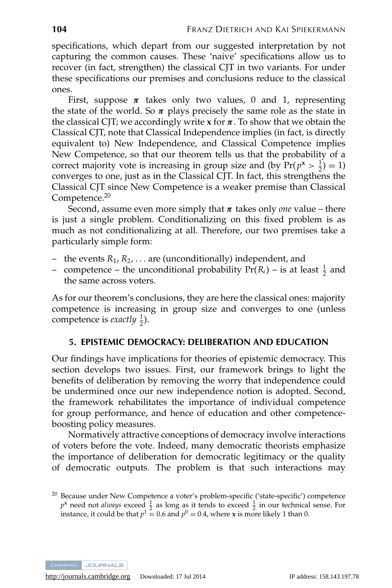specifications, which depart from our suggested interpretation by not capturing the common causes. These 'naive' specifications allow us to recover (in fact, strengthen) the classical CJT in two variants. For under these specifications our premises and conclusions reduce to the classical ones.

First, suppose  $\pi$  takes only two values, 0 and 1, representing the state of the world. So  $\pi$  plays precisely the same role as the state in the classical CJT; we accordingly write **x** for *π*. To show that we obtain the Classical CJT, note that Classical Independence implies (in fact, is directly equivalent to) New Independence, and Classical Competence implies New Competence, so that our theorem tells us that the probability of a correct majority vote is increasing in group size and (by  $Pr(p^x > \frac{1}{2}) = 1$ ) converges to one, just as in the Classical CJT. In fact, this strengthens the Classical CJT since New Competence is a weaker premise than Classical Competence.<sup>20</sup>

Second, assume even more simply that  $\pi$  takes only *one* value – there is just a single problem. Conditionalizing on this fixed problem is as much as not conditionalizing at all. Therefore, our two premises take a particularly simple form:

- the events *R*1, *R*2, ... are (unconditionally) independent, and
- competence the unconditional probability  $Pr(R_i)$  is at least  $\frac{1}{2}$  and the same across voters.

As for our theorem's conclusions, they are here the classical ones: majority competence is increasing in group size and converges to one (unless competence is *exactly*  $\frac{1}{2}$ ).

#### **5. EPISTEMIC DEMOCRACY: DELIBERATION AND EDUCATION**

Our findings have implications for theories of epistemic democracy. This section develops two issues. First, our framework brings to light the benefits of deliberation by removing the worry that independence could be undermined once our new independence notion is adopted. Second, the framework rehabilitates the importance of individual competence for group performance, and hence of education and other competenceboosting policy measures.

Normatively attractive conceptions of democracy involve interactions of voters before the vote. Indeed, many democratic theorists emphasize the importance of deliberation for democratic legitimacy or the quality of democratic outputs. The problem is that such interactions may

<sup>&</sup>lt;sup>20</sup> Because under New Competence a voter's problem-specific ('state-specific') competence  $p^{\mathbf{x}}$  need not *always* exceed  $\frac{1}{2}$  as long as it tends to exceed  $\frac{1}{2}$  in our technical sense. For instance, it could be that  $p^1 = 0.6$  and  $p^0 = 0.4$ , where **x** is more likely 1 than 0.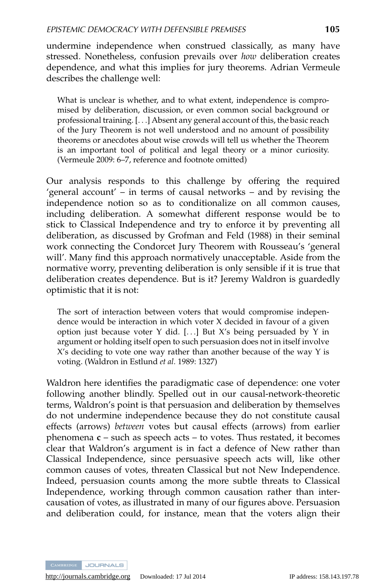undermine independence when construed classically, as many have stressed. Nonetheless, confusion prevails over *how* deliberation creates dependence, and what this implies for jury theorems. Adrian Vermeule describes the challenge well:

What is unclear is whether, and to what extent, independence is compromised by deliberation, discussion, or even common social background or professional training. [...] Absent any general account of this, the basic reach of the Jury Theorem is not well understood and no amount of possibility theorems or anecdotes about wise crowds will tell us whether the Theorem is an important tool of political and legal theory or a minor curiosity. (Vermeule 2009: 6–7, reference and footnote omitted)

Our analysis responds to this challenge by offering the required 'general account' – in terms of causal networks – and by revising the independence notion so as to conditionalize on all common causes, including deliberation. A somewhat different response would be to stick to Classical Independence and try to enforce it by preventing all deliberation, as discussed by Grofman and Feld (1988) in their seminal work connecting the Condorcet Jury Theorem with Rousseau's 'general will'. Many find this approach normatively unacceptable. Aside from the normative worry, preventing deliberation is only sensible if it is true that deliberation creates dependence. But is it? Jeremy Waldron is guardedly optimistic that it is not:

The sort of interaction between voters that would compromise independence would be interaction in which voter X decided in favour of a given option just because voter Y did. [...] But X's being persuaded by Y in argument or holding itself open to such persuasion does not in itself involve X's deciding to vote one way rather than another because of the way Y is voting. (Waldron in Estlund *et al.* 1989: 1327)

Waldron here identifies the paradigmatic case of dependence: one voter following another blindly. Spelled out in our causal-network-theoretic terms, Waldron's point is that persuasion and deliberation by themselves do not undermine independence because they do not constitute causal effects (arrows) *between* votes but causal effects (arrows) from earlier phenomena **c** – such as speech acts – to votes. Thus restated, it becomes clear that Waldron's argument is in fact a defence of New rather than Classical Independence, since persuasive speech acts will, like other common causes of votes, threaten Classical but not New Independence. Indeed, persuasion counts among the more subtle threats to Classical Independence, working through common causation rather than intercausation of votes, as illustrated in many of our figures above. Persuasion and deliberation could, for instance, mean that the voters align their

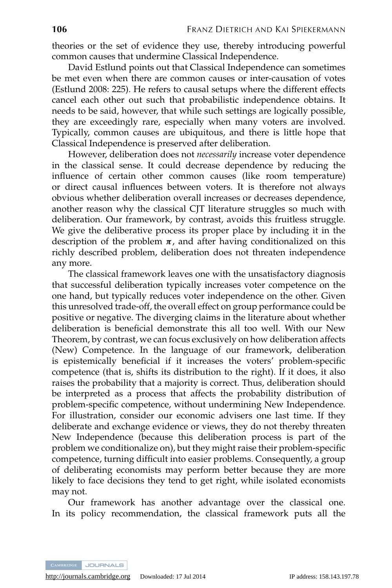theories or the set of evidence they use, thereby introducing powerful common causes that undermine Classical Independence.

David Estlund points out that Classical Independence can sometimes be met even when there are common causes or inter-causation of votes (Estlund 2008: 225). He refers to causal setups where the different effects cancel each other out such that probabilistic independence obtains. It needs to be said, however, that while such settings are logically possible, they are exceedingly rare, especially when many voters are involved. Typically, common causes are ubiquitous, and there is little hope that Classical Independence is preserved after deliberation.

However, deliberation does not *necessarily* increase voter dependence in the classical sense. It could decrease dependence by reducing the influence of certain other common causes (like room temperature) or direct causal influences between voters. It is therefore not always obvious whether deliberation overall increases or decreases dependence, another reason why the classical CJT literature struggles so much with deliberation. Our framework, by contrast, avoids this fruitless struggle. We give the deliberative process its proper place by including it in the description of the problem  $\pi$ , and after having conditionalized on this richly described problem, deliberation does not threaten independence any more.

The classical framework leaves one with the unsatisfactory diagnosis that successful deliberation typically increases voter competence on the one hand, but typically reduces voter independence on the other. Given this unresolved trade-off, the overall effect on group performance could be positive or negative. The diverging claims in the literature about whether deliberation is beneficial demonstrate this all too well. With our New Theorem, by contrast, we can focus exclusively on how deliberation affects (New) Competence. In the language of our framework, deliberation is epistemically beneficial if it increases the voters' problem-specific competence (that is, shifts its distribution to the right). If it does, it also raises the probability that a majority is correct. Thus, deliberation should be interpreted as a process that affects the probability distribution of problem-specific competence, without undermining New Independence. For illustration, consider our economic advisers one last time. If they deliberate and exchange evidence or views, they do not thereby threaten New Independence (because this deliberation process is part of the problem we conditionalize on), but they might raise their problem-specific competence, turning difficult into easier problems. Consequently, a group of deliberating economists may perform better because they are more likely to face decisions they tend to get right, while isolated economists may not.

Our framework has another advantage over the classical one. In its policy recommendation, the classical framework puts all the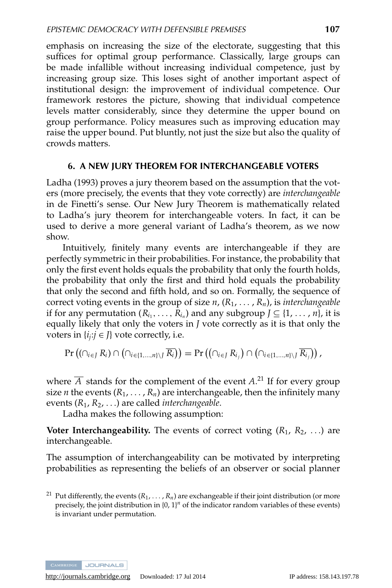emphasis on increasing the size of the electorate, suggesting that this suffices for optimal group performance. Classically, large groups can be made infallible without increasing individual competence, just by increasing group size. This loses sight of another important aspect of institutional design: the improvement of individual competence. Our framework restores the picture, showing that individual competence levels matter considerably, since they determine the upper bound on group performance. Policy measures such as improving education may raise the upper bound. Put bluntly, not just the size but also the quality of crowds matters.

#### **6. A NEW JURY THEOREM FOR INTERCHANGEABLE VOTERS**

Ladha (1993) proves a jury theorem based on the assumption that the voters (more precisely, the events that they vote correctly) are *interchangeable* in de Finetti's sense. Our New Jury Theorem is mathematically related to Ladha's jury theorem for interchangeable voters. In fact, it can be used to derive a more general variant of Ladha's theorem, as we now show.

Intuitively, finitely many events are interchangeable if they are perfectly symmetric in their probabilities. For instance, the probability that only the first event holds equals the probability that only the fourth holds, the probability that only the first and third hold equals the probability that only the second and fifth hold, and so on. Formally, the sequence of correct voting events in the group of size  $n$ ,  $(R_1, \ldots, R_n)$ , is *interchangeable* if for any permutation  $(R_{i_1}, \ldots, R_{i_n})$  and any subgroup  $J \subseteq \{1, \ldots, n\}$ , it is equally likely that only the voters in *J* vote correctly as it is that only the voters in  $\{i_j:j \in J\}$  vote correctly, i.e.

$$
\Pr\left((\cap_{i\in J} R_i)\cap\left(\cap_{i\in\{1,\dots,n\}\setminus J}\overline{R_i}\right)\right)=\Pr\left(\left(\cap_{i\in J} R_{i_j}\right)\cap\left(\cap_{i\in\{1,\dots,n\}\setminus J}\overline{R_{i_j}}\right)\right),
$$

where  $\overline{A}$  stands for the complement of the event  $A$ <sup>21</sup>. If for every group size *n* the events  $(R_1, \ldots, R_n)$  are interchangeable, then the infinitely many events (*R*1, *R*2, ...) are called *interchangeable*.

Ladha makes the following assumption:

**Voter Interchangeability.** The events of correct voting  $(R_1, R_2, ...)$  are interchangeable.

The assumption of interchangeability can be motivated by interpreting probabilities as representing the beliefs of an observer or social planner

<sup>21</sup> Put differently, the events  $(R_1, \ldots, R_n)$  are exchangeable if their joint distribution (or more precisely, the joint distribution in  $\{0, 1\}$ <sup>*n*</sup> of the indicator random variables of these events) is invariant under permutation.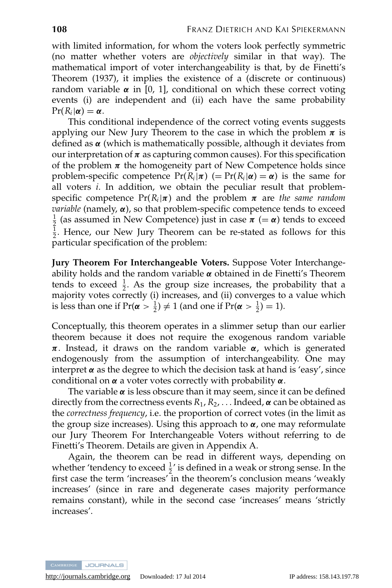with limited information, for whom the voters look perfectly symmetric (no matter whether voters are *objectively* similar in that way). The mathematical import of voter interchangeability is that, by de Finetti's Theorem (1937), it implies the existence of a (discrete or continuous) random variable  $\alpha$  in [0, 1], conditional on which these correct voting events (i) are independent and (ii) each have the same probability  $Pr(R_i|\boldsymbol{\alpha}) = \boldsymbol{\alpha}$ .

This conditional independence of the correct voting events suggests applying our New Jury Theorem to the case in which the problem *π* is defined as *α* (which is mathematically possible, although it deviates from our interpretation of  $\pi$  as capturing common causes). For this specification of the problem  $\pi$  the homogeneity part of New Competence holds since problem-specific competence  $Pr(R_i|\pi)$  (=  $Pr(R_i|\alpha) = \alpha$ ) is the same for all voters *i*. In addition, we obtain the peculiar result that problemspecific competence  $Pr(R_i|\pi)$  and the problem  $\pi$  are the same random *variable* (namely, α), so that problem-specific competence tends to exceed  $\frac{1}{2}$  (as assumed in New Competence) just in case  $\pi$  (=  $\alpha$ ) tends to exceed  $\frac{1}{2}$ . Hence, our New Jury Theorem can be re-stated as follows for this particular specification of the problem:

**Jury Theorem For Interchangeable Voters.** Suppose Voter Interchangeability holds and the random variable *α* obtained in de Finetti's Theorem tends to exceed  $\frac{1}{2}$ . As the group size increases, the probability that a majority votes correctly (i) increases, and (ii) converges to a value which is less than one if  $Pr(\alpha > \frac{1}{2}) \neq 1$  (and one if  $Pr(\alpha > \frac{1}{2}) = 1$ ).

Conceptually, this theorem operates in a slimmer setup than our earlier theorem because it does not require the exogenous random variable *π*. Instead, it draws on the random variable *α*, which is generated endogenously from the assumption of interchangeability. One may interpret  $\alpha$  as the degree to which the decision task at hand is 'easy', since conditional on *α* a voter votes correctly with probability *α*.

The variable *α* is less obscure than it may seem, since it can be defined directly from the correctness events *R*1, *R*2, ... Indeed, *α* can be obtained as the *correctness frequency*, i.e. the proportion of correct votes (in the limit as the group size increases). Using this approach to  $\alpha$ , one may reformulate our Jury Theorem For Interchangeable Voters without referring to de Finetti's Theorem. Details are given in Appendix A.

Again, the theorem can be read in different ways, depending on whether 'tendency to exceed  $\frac{1}{2}$ ' is defined in a weak or strong sense. In the first case the term 'increases' in the theorem's conclusion means 'weakly increases' (since in rare and degenerate cases majority performance remains constant), while in the second case 'increases' means 'strictly increases'.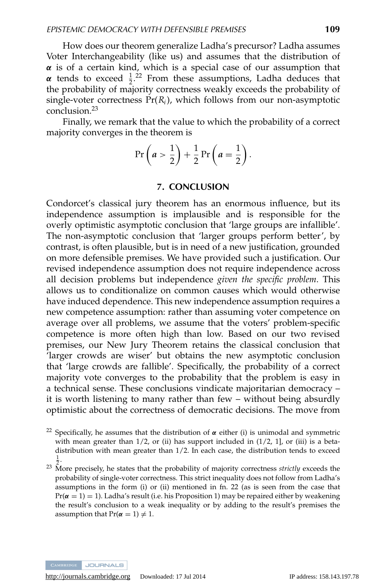How does our theorem generalize Ladha's precursor? Ladha assumes Voter Interchangeability (like us) and assumes that the distribution of *α* is of a certain kind, which is a special case of our assumption that  $α$  tends to exceed  $\frac{1}{2}$ .<sup>22</sup> From these assumptions, Ladha deduces that the probability of majority correctness weakly exceeds the probability of single-voter correctness  $Pr(R_i)$ , which follows from our non-asymptotic conclusion.<sup>23</sup>

Finally, we remark that the value to which the probability of a correct majority converges in the theorem is

$$
\Pr\left(a > \frac{1}{2}\right) + \frac{1}{2}\Pr\left(a = \frac{1}{2}\right).
$$

#### **7. CONCLUSION**

Condorcet's classical jury theorem has an enormous influence, but its independence assumption is implausible and is responsible for the overly optimistic asymptotic conclusion that 'large groups are infallible'. The non-asymptotic conclusion that 'larger groups perform better', by contrast, is often plausible, but is in need of a new justification, grounded on more defensible premises. We have provided such a justification. Our revised independence assumption does not require independence across all decision problems but independence *given the specific problem*. This allows us to conditionalize on common causes which would otherwise have induced dependence. This new independence assumption requires a new competence assumption: rather than assuming voter competence on average over all problems, we assume that the voters' problem-specific competence is more often high than low. Based on our two revised premises, our New Jury Theorem retains the classical conclusion that 'larger crowds are wiser' but obtains the new asymptotic conclusion that 'large crowds are fallible'. Specifically, the probability of a correct majority vote converges to the probability that the problem is easy in a technical sense. These conclusions vindicate majoritarian democracy – it is worth listening to many rather than few – without being absurdly optimistic about the correctness of democratic decisions. The move from

<sup>23</sup> More precisely, he states that the probability of majority correctness *strictly* exceeds the probability of single-voter correctness. This strict inequality does not follow from Ladha's assumptions in the form (i) or (ii) mentioned in fn. 22 (as is seen from the case that  $Pr(\alpha = 1) = 1$ ). Ladha's result (i.e. his Proposition 1) may be repaired either by weakening the result's conclusion to a weak inequality or by adding to the result's premises the assumption that  $Pr(\alpha = 1) \neq 1$ .

<sup>&</sup>lt;sup>22</sup> Specifically, he assumes that the distribution of  $\alpha$  either (i) is unimodal and symmetric with mean greater than  $1/2$ , or (ii) has support included in  $(1/2, 1]$ , or (iii) is a betadistribution with mean greater than 1/2. In each case, the distribution tends to exceed 1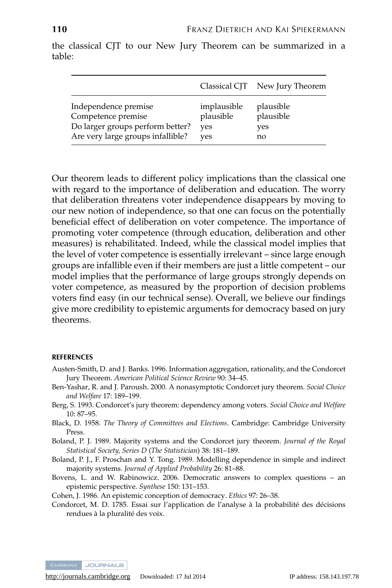|                                   |             | Classical CJT New Jury Theorem |
|-----------------------------------|-------------|--------------------------------|
| Independence premise              | implausible | plausible                      |
| Competence premise                | plausible   | plausible                      |
| Do larger groups perform better?  | yes         | yes                            |
| Are very large groups infallible? | ves         | no                             |

the classical CJT to our New Jury Theorem can be summarized in a table:

Our theorem leads to different policy implications than the classical one with regard to the importance of deliberation and education. The worry that deliberation threatens voter independence disappears by moving to our new notion of independence, so that one can focus on the potentially beneficial effect of deliberation on voter competence. The importance of promoting voter competence (through education, deliberation and other measures) is rehabilitated. Indeed, while the classical model implies that the level of voter competence is essentially irrelevant – since large enough groups are infallible even if their members are just a little competent – our model implies that the performance of large groups strongly depends on voter competence, as measured by the proportion of decision problems voters find easy (in our technical sense). Overall, we believe our findings give more credibility to epistemic arguments for democracy based on jury theorems.

#### **REFERENCES**

- Austen-Smith, D. and J. Banks. 1996. Information aggregation, rationality, and the Condorcet Jury Theorem. *American Political Science Review* 90: 34–45.
- Ben-Yashar, R. and J. Paroush. 2000. A nonasymptotic Condorcet jury theorem. *Social Choice and Welfare* 17: 189–199.
- Berg, S. 1993. Condorcet's jury theorem: dependency among voters. *Social Choice and Welfare* 10: 87–95.
- Black, D. 1958. *The Theory of Committees and Elections*. Cambridge: Cambridge University Press.

Boland, P. J. 1989. Majority systems and the Condorcet jury theorem. *Journal of the Royal Statistical Society, Series D* (*The Statistician*) 38: 181–189.

- Boland, P. J., F. Proschan and Y. Tong. 1989. Modelling dependence in simple and indirect majority systems. *Journal of Applied Probability* 26: 81–88.
- Bovens, L. and W. Rabinowicz. 2006. Democratic answers to complex questions an epistemic perspective. *Synthese* 150: 131–153.

Cohen, J. 1986. An epistemic conception of democracy. *Ethics* 97: 26–38.

Condorcet, M. D. 1785. Essai sur l'application de l'analyse à la probabilité des décisions rendues à la pluralité des voix.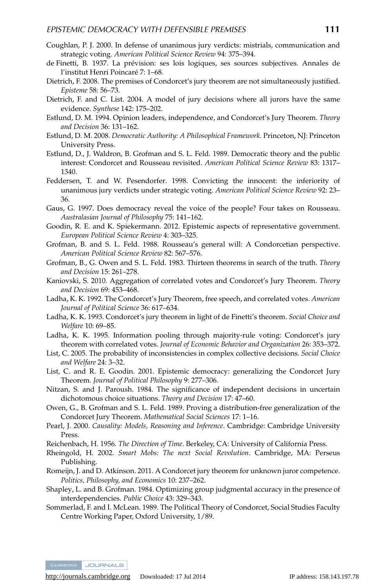- Coughlan, P. J. 2000. In defense of unanimous jury verdicts: mistrials, communication and strategic voting. *American Political Science Review* 94: 375–394.
- de Finetti, B. 1937. La prévision: ses lois logiques, ses sources subjectives. Annales de l'institut Henri Poincaré 7: 1–68.
- Dietrich, F. 2008. The premises of Condorcet's jury theorem are not simultaneously justified. *Episteme* 58: 56–73.
- Dietrich, F. and C. List. 2004. A model of jury decisions where all jurors have the same evidence. *Synthese* 142: 175–202.
- Estlund, D. M. 1994. Opinion leaders, independence, and Condorcet's Jury Theorem. *Theory and Decision* 36: 131–162.
- Estlund, D. M. 2008. *Democratic Authority: A Philosophical Framework*. Princeton, NJ: Princeton University Press.
- Estlund, D., J. Waldron, B. Grofman and S. L. Feld. 1989. Democratic theory and the public interest: Condorcet and Rousseau revisited. *American Political Science Review* 83: 1317– 1340.
- Feddersen, T. and W. Pesendorfer. 1998. Convicting the innocent: the inferiority of unanimous jury verdicts under strategic voting. *American Political Science Review* 92: 23– 36.
- Gaus, G. 1997. Does democracy reveal the voice of the people? Four takes on Rousseau. *Australasian Journal of Philosophy* 75: 141–162.
- Goodin, R. E. and K. Spiekermann. 2012. Epistemic aspects of representative government. *European Political Science Review* 4: 303–325.
- Grofman, B. and S. L. Feld. 1988. Rousseau's general will: A Condorcetian perspective. *American Political Science Review* 82: 567–576.
- Grofman, B., G. Owen and S. L. Feld. 1983. Thirteen theorems in search of the truth. *Theory and Decision* 15: 261–278.
- Kaniovski, S. 2010. Aggregation of correlated votes and Condorcet's Jury Theorem. *Theory and Decision* 69: 453–468.
- Ladha, K. K. 1992. The Condorcet's Jury Theorem, free speech, and correlated votes. *American Journal of Political Science* 36: 617–634.
- Ladha, K. K. 1993. Condorcet's jury theorem in light of de Finetti's theorem. *Social Choice and Welfare* 10: 69–85.
- Ladha, K. K. 1995. Information pooling through majority-rule voting: Condorcet's jury theorem with correlated votes. *Journal of Economic Behavior and Organization* 26: 353–372.
- List, C. 2005. The probability of inconsistencies in complex collective decisions. *Social Choice and Welfare* 24: 3–32.
- List, C. and R. E. Goodin. 2001. Epistemic democracy: generalizing the Condorcet Jury Theorem. *Journal of Political Philosophy* 9: 277–306.
- Nitzan, S. and J. Paroush. 1984. The significance of independent decisions in uncertain dichotomous choice situations. *Theory and Decision* 17: 47–60.
- Owen, G., B. Grofman and S. L. Feld. 1989. Proving a distribution-free generalization of the Condorcet Jury Theorem. *Mathematical Social Sciences* 17: 1–16.
- Pearl, J. 2000. *Causality: Models, Reasoning and Inference*. Cambridge: Cambridge University Press.
- Reichenbach, H. 1956. *The Direction of Time*. Berkeley, CA: University of California Press.
- Rheingold, H. 2002. *Smart Mobs: The next Social Revolution*. Cambridge, MA: Perseus Publishing.
- Romeijn, J. and D. Atkinson. 2011. A Condorcet jury theorem for unknown juror competence. *Politics, Philosophy, and Economics* 10: 237–262.
- Shapley, L. and B. Grofman. 1984. Optimizing group judgmental accuracy in the presence of interdependencies. *Public Choice* 43: 329–343.
- Sommerlad, F. and I. McLean. 1989. The Political Theory of Condorcet, Social Studies Faculty Centre Working Paper, Oxford University, 1/89.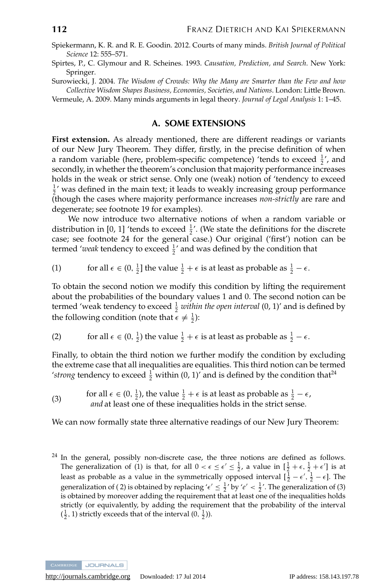Spiekermann, K. R. and R. E. Goodin. 2012. Courts of many minds. *British Journal of Political Science* 12: 555–571.

Spirtes, P., C. Glymour and R. Scheines. 1993. *Causation, Prediction, and Search*. New York: Springer.

Surowiecki, J. 2004. *The Wisdom of Crowds: Why the Many are Smarter than the Few and how Collective Wisdom Shapes Business, Economies, Societies, and Nations*. London: Little Brown. Vermeule, A. 2009. Many minds arguments in legal theory. *Journal of Legal Analysis* 1: 1–45.

#### **A. SOME EXTENSIONS**

**First extension.** As already mentioned, there are different readings or variants of our New Jury Theorem. They differ, firstly, in the precise definition of when a random variable (here, problem-specific competence) 'tends to exceed  $\frac{1}{2}$ ', and secondly, in whether the theorem's conclusion that majority performance increases holds in the weak or strict sense. Only one (weak) notion of 'tendency to exceed  $\frac{1}{2}$ ' was defined in the main text; it leads to weakly increasing group performance (though the cases where majority performance increases *non-strictly* are rare and degenerate; see footnote 19 for examples).

We now introduce two alternative notions of when a random variable or distribution in [0, 1] 'tends to exceed  $\frac{1}{2}$ '. (We state the definitions for the discrete case; see footnote 24 for the general case.) Our original ('first') notion can be termed *'weak* tendency to exceed  $\frac{1}{2}$ ' and was defined by the condition that

(1) for all 
$$
\epsilon \in (0, \frac{1}{2}]
$$
 the value  $\frac{1}{2} + \epsilon$  is at least as probable as  $\frac{1}{2} - \epsilon$ .

To obtain the second notion we modify this condition by lifting the requirement about the probabilities of the boundary values 1 and 0. The second notion can be termed 'weak tendency to exceed  $\frac{1}{2}$  *within the open interval* (0, 1)' and is defined by the following condition (note that  $\epsilon \neq \frac{1}{2}$ ):

(2) for all 
$$
\epsilon \in (0, \frac{1}{2})
$$
 the value  $\frac{1}{2} + \epsilon$  is at least as probable as  $\frac{1}{2} - \epsilon$ .

Finally, to obtain the third notion we further modify the condition by excluding the extreme case that all inequalities are equalities. This third notion can be termed *'strong* tendency to exceed  $\frac{1}{2}$  within  $(0, 1)$ ' and is defined by the condition that<sup>24</sup>

for all  $\epsilon \in (0, \frac{1}{2})$ , the value  $\frac{1}{2} + \epsilon$  is at least as probable as  $\frac{1}{2} - \epsilon$ , (3) **and** at least one of these inequalities holds in the strict sense.

We can now formally state three alternative readings of our New Jury Theorem:

 $24$  In the general, possibly non-discrete case, the three notions are defined as follows. The generalization of (1) is that, for all  $0 < \epsilon \leq \epsilon' \leq \frac{1}{2}$ , a value in  $[\frac{1}{2} + \epsilon, \frac{1}{2} + \epsilon']$  is at least as probable as a value in the symmetrically opposed interval  $[\frac{1}{2} - \epsilon', \frac{1}{2} - \epsilon]$ . The generalization of ( 2) is obtained by replacing ' $\epsilon' \leq \frac{1}{2}$ ' by ' $e' < \frac{1}{2}$ '. The generalization of (3) is obtained by moreover adding the requirement that at least one of the inequalities holds strictly (or equivalently, by adding the requirement that the probability of the interval  $(\frac{1}{2}, 1)$  strictly exceeds that of the interval  $(0, \frac{1}{2})$ ).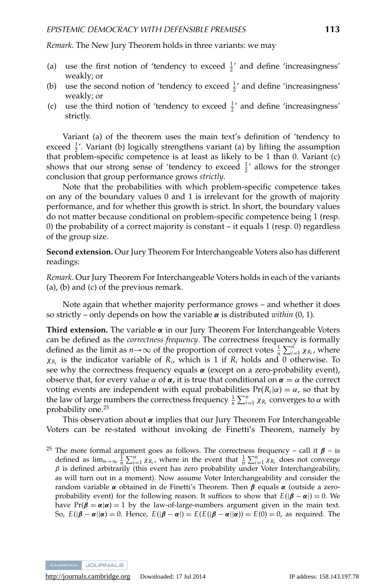*Remark*. The New Jury Theorem holds in three variants: we may

- (a) use the first notion of 'tendency to exceed  $\frac{1}{2}$ ' and define 'increasingness' weakly; or
- (b) use the second notion of 'tendency to exceed  $\frac{1}{2}$ ' and define 'increasingness' weakly; or
- (c) use the third notion of 'tendency to exceed  $\frac{1}{2}$ ' and define 'increasingness' strictly.

Variant (a) of the theorem uses the main text's definition of 'tendency to exceed  $\frac{1}{2}$ . Variant (b) logically strengthens variant (a) by lifting the assumption that problem-specific competence is at least as likely to be 1 than 0. Variant (c) shows that our strong sense of 'tendency to exceed  $\frac{1}{2}$ ' allows for the stronger conclusion that group performance grows *strictly*.

Note that the probabilities with which problem-specific competence takes on any of the boundary values 0 and 1 is irrelevant for the growth of majority performance, and for whether this growth is strict. In short, the boundary values do not matter because conditional on problem-specific competence being 1 (resp. 0) the probability of a correct majority is constant  $-$  it equals 1 (resp. 0) regardless of the group size.

**Second extension.** Our Jury Theorem For Interchangeable Voters also has different readings:

*Remark*. Our Jury Theorem For Interchangeable Voters holds in each of the variants (a), (b) and (c) of the previous remark.

Note again that whether majority performance grows – and whether it does so strictly – only depends on how the variable *α* is distributed *within* (0, 1).

**Third extension.** The variable *α* in our Jury Theorem For Interchangeable Voters can be defined as the *correctness frequency*. The correctness frequency is formally defined as the limit as  $n \rightarrow \infty$  of the proportion of correct votes  $\frac{1}{n} \sum_{i=1}^{n} \chi_{R_i}$ , where  $\chi_{R_i}$  is the indicator variable of  $R_i$ , which is 1 if  $R_i$  holds and 0 otherwise. To see why the correctness frequency equals  $\alpha$  (except on a zero-probability event), observe that, for every value  $\alpha$  of  $\alpha$ , it is true that conditional on  $\alpha = \alpha$  the correct voting events are independent with equal probabilities  $Pr(R_i|\alpha) = \alpha$ , so that by the law of large numbers the correctness frequency  $\frac{1}{n} \sum_{i=1}^{n} \chi_{R_i}$  converges to  $\alpha$  with probability one.<sup>25</sup>

This observation about *α* implies that our Jury Theorem For Interchangeable Voters can be re-stated without invoking de Finetti's Theorem, namely by

<sup>25</sup> The more formal argument goes as follows. The correctness frequency – call it  $\beta$  – is defined as  $\lim_{n\to\infty} \frac{1}{n} \sum_{i=1}^{n} \chi_{R_i}$ , where in the event that  $\frac{1}{n} \sum_{i=1}^{n} \chi_{R_i}$  does not converge  $\beta$  is defined arbitrarily (this event has zero probability under Voter Interchangeability, as will turn out in a moment). Now assume Voter Interchangeability and consider the random variable *α* obtained in de Finetti's Theorem. Then *β* equals *α* (outside a zeroprobability event) for the following reason. It suffices to show that  $E(|\beta - \alpha|) = 0$ . We have  $Pr(\beta = \alpha | \alpha) = 1$  by the law-of-large-numbers argument given in the main text. So,  $E(|\beta - \alpha||\alpha) = 0$ . Hence,  $E(|\beta - \alpha|) = E(E(|\beta - \alpha||\alpha)) = E(0) = 0$ , as required. The

<http://journals.cambridge.org> Downloaded: 17 Jul 2014 IP address: 158.143.197.78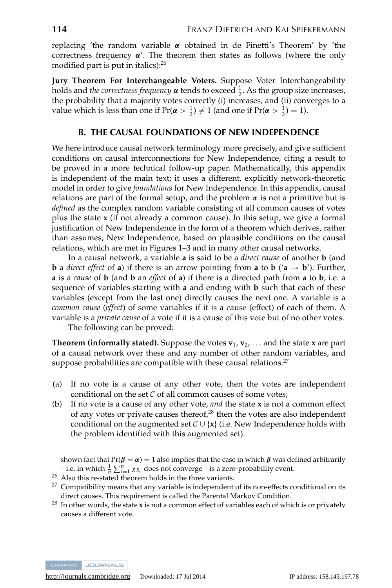replacing 'the random variable *α* obtained in de Finetti's Theorem' by 'the correctness frequency *α*'. The theorem then states as follows (where the only modified part is put in italics):26

**Jury Theorem For Interchangeable Voters.** Suppose Voter Interchangeability holds and *the correctness frequency*  $\alpha$  tends to exceed  $\frac{1}{2}$ . As the group size increases, the probability that a majority votes correctly (i) increases, and (ii) converges to a value which is less than one if  $Pr(\alpha > \frac{1}{2}) \neq 1$  (and one if  $Pr(\alpha > \frac{1}{2}) = 1$ ).

#### **B. THE CAUSAL FOUNDATIONS OF NEW INDEPENDENCE**

We here introduce causal network terminology more precisely, and give sufficient conditions on causal interconnections for New Independence, citing a result to be proved in a more technical follow-up paper. Mathematically, this appendix is independent of the main text; it uses a different, explicitly network-theoretic model in order to give *foundations* for New Independence. In this appendix, causal relations are part of the formal setup, and the problem  $\pi$  is not a primitive but is *defined* as the complex random variable consisting of all common causes of votes plus the state **x** (if not already a common cause). In this setup, we give a formal justification of New Independence in the form of a theorem which derives, rather than assumes, New Independence, based on plausible conditions on the causal relations, which are met in Figures 1–3 and in many other causal networks.

In a causal network, a variable **a** is said to be a *direct cause* of another **b** (and **b** a *direct effect* of **a**) if there is an arrow pointing from **a** to **b** ( $a \rightarrow b'$ ). Further, **a** is a *cause* of **b** (and **b** an *effect* of **a**) if there is a directed path from **a** to **b**, i.e. a sequence of variables starting with **a** and ending with **b** such that each of these variables (except from the last one) directly causes the next one. A variable is a *common cause* (*effect*) of some variables if it is a cause (effect) of each of them. A variable is a *private cause* of a vote if it is a cause of this vote but of no other votes.

The following can be proved:

**Theorem (informally stated).** Suppose the votes  $\mathbf{v}_1, \mathbf{v}_2, \ldots$  and the state **x** are part of a causal network over these and any number of other random variables, and suppose probabilities are compatible with these causal relations.<sup>27</sup>

- (a) If no vote is a cause of any other vote, then the votes are independent conditional on the set  $C$  of all common causes of some votes;
- (b) If no vote is a cause of any other vote, *and* the state **x** is not a common effect of any votes or private causes thereof, $2<sup>8</sup>$  then the votes are also independent conditional on the augmented set  $C \cup \{x\}$  (i.e. New Independence holds with the problem identified with this augmented set).

shown fact that  $Pr(\beta = \alpha) = 1$  also implies that the case in which  $\beta$  was defined arbitrarily  $-$  i.e. in which  $\frac{1}{n} \sum_{i=1}^{n}$ *n* i.e. in which  $\frac{1}{n} \sum_{i=1}^{n} \chi_{R_i}$  does not converge *n* is a zero-probability event. 26 Also this re-stated theorem holds in the three variants.

- 
- $27$  Compatibility means that any variable is independent of its non-effects conditional on its direct causes. This requirement is called the Parental Markov Condition.
- <sup>28</sup> In other words, the state **x** is not a common effect of variables each of which is or privately causes a different vote.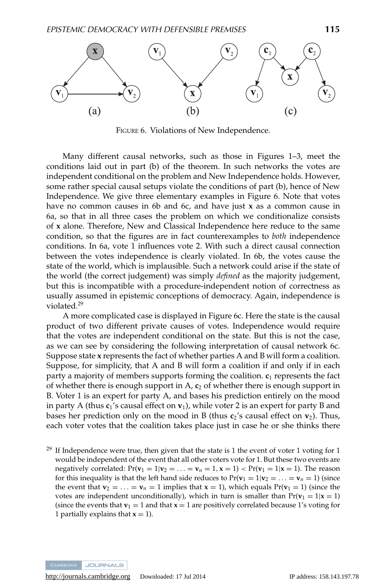

FIGURE 6. Violations of New Independence.

Many different causal networks, such as those in Figures 1–3, meet the conditions laid out in part (b) of the theorem. In such networks the votes are independent conditional on the problem and New Independence holds. However, some rather special causal setups violate the conditions of part (b), hence of New Independence. We give three elementary examples in Figure 6. Note that votes have no common causes in 6b and 6c, and have just **x** as a common cause in 6a, so that in all three cases the problem on which we conditionalize consists of **x** alone. Therefore, New and Classical Independence here reduce to the same condition, so that the figures are in fact counterexamples to *both* independence conditions. In 6a, vote 1 influences vote 2. With such a direct causal connection between the votes independence is clearly violated. In 6b, the votes cause the state of the world, which is implausible. Such a network could arise if the state of the world (the correct judgement) was simply *defined* as the majority judgement, but this is incompatible with a procedure-independent notion of correctness as usually assumed in epistemic conceptions of democracy. Again, independence is violated.29

A more complicated case is displayed in Figure 6c. Here the state is the causal product of two different private causes of votes. Independence would require that the votes are independent conditional on the state. But this is not the case, as we can see by considering the following interpretation of causal network 6c. Suppose state **x** represents the fact of whether parties A and B will form a coalition. Suppose, for simplicity, that A and B will form a coalition if and only if in each party a majority of members supports forming the coalition. **c**<sup>1</sup> represents the fact of whether there is enough support in A, **c**<sup>2</sup> of whether there is enough support in B. Voter 1 is an expert for party A, and bases his prediction entirely on the mood in party A (thus  $c_1$ 's causal effect on  $v_1$ ), while voter 2 is an expert for party B and bases her prediction only on the mood in B (thus  $c_2$ 's causal effect on  $v_2$ ). Thus, each voter votes that the coalition takes place just in case he or she thinks there

 $29$  If Independence were true, then given that the state is 1 the event of voter 1 voting for 1 would be independent of the event that all other voters vote for 1. But these two events are negatively correlated:  $Pr(\mathbf{v}_1 = 1 | \mathbf{v}_2 = \dots = \mathbf{v}_n = 1, \mathbf{x} = 1)$  <  $Pr(\mathbf{v}_1 = 1 | \mathbf{x} = 1)$ . The reason for this inequality is that the left hand side reduces to  $Pr(\mathbf{v}_1 = 1 | \mathbf{v}_2 = \ldots = \mathbf{v}_n = 1)$  (since the event that  $\mathbf{v}_2 = \ldots = \mathbf{v}_n = 1$  implies that  $\mathbf{x} = 1$ ), which equals  $Pr(\mathbf{v}_1 = 1)$  (since the votes are independent unconditionally), which in turn is smaller than  $Pr(\mathbf{v}_1 = 1 | \mathbf{x} = 1)$ (since the events that  $\mathbf{v}_1 = 1$  and that  $\mathbf{x} = 1$  are positively correlated because 1's voting for 1 partially explains that  $x = 1$ ).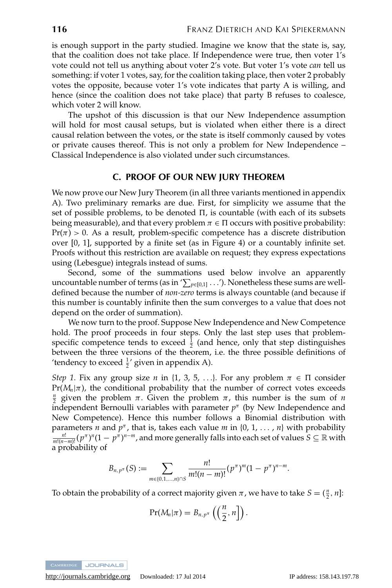is enough support in the party studied. Imagine we know that the state is, say, that the coalition does not take place. If Independence were true, then voter 1's vote could not tell us anything about voter 2's vote. But voter 1's vote *can* tell us something: if voter 1 votes, say, for the coalition taking place, then voter 2 probably votes the opposite, because voter 1's vote indicates that party A is willing, and hence (since the coalition does not take place) that party B refuses to coalesce, which voter 2 will know.

The upshot of this discussion is that our New Independence assumption will hold for most causal setups, but is violated when either there is a direct causal relation between the votes, or the state is itself commonly caused by votes or private causes thereof. This is not only a problem for New Independence – Classical Independence is also violated under such circumstances.

#### **C. PROOF OF OUR NEW JURY THEOREM**

We now prove our New Jury Theorem (in all three variants mentioned in appendix A). Two preliminary remarks are due. First, for simplicity we assume that the set of possible problems, to be denoted  $\Pi$ , is countable (with each of its subsets being measurable), and that every problem  $\pi \in \Pi$  occurs with positive probability:  $Pr(\pi) > 0$ . As a result, problem-specific competence has a discrete distribution over [0, 1], supported by a finite set (as in Figure 4) or a countably infinite set. Proofs without this restriction are available on request; they express expectations using (Lebesgue) integrals instead of sums.

Second, some of the summations used below involve an apparently uncountable number of terms (as in ' $\sum_{p\in[0,1]}$ ...'). Nonetheless these sums are welldefined because the number of *non-zero* terms is always countable (and because if this number is countably infinite then the sum converges to a value that does not depend on the order of summation).

We now turn to the proof. Suppose New Independence and New Competence hold. The proof proceeds in four steps. Only the last step uses that problemspecific competence tends to exceed  $\frac{1}{2}$  (and hence, only that step distinguishes between the three versions of the theorem, i.e. the three possible definitions of 'tendency to exceed  $\frac{1}{2}$ ' given in appendix A).

*Step 1*. Fix any group size *n* in {1, 3, 5, ...}. For any problem  $\pi \in \Pi$  consider  $Pr(M_n|\pi)$ , the conditional probability that the number of correct votes exceeds  $\frac{n}{2}$  given the problem π. Given the problem π, this number is the sum of *n* independent Bernoulli variables with parameter *p*<sup>π</sup> (by New Independence and New Competence). Hence this number follows a Binomial distribution with parameters *n* and  $p^{\pi}$ , that is, takes each value *m* in {0, 1, ..., *n*} with probability  $\frac{n!}{m!(n-m)!}$   $(p^{\pi})^n(1-p^{\pi})^{n-m}$ , and more generally falls into each set of values  $S \subseteq \mathbb{R}$  with a probability of

$$
B_{n,p^{\pi}}(S) := \sum_{m \in \{0,1,\ldots,n\} \cap S} \frac{n!}{m!(n-m)!} (p^{\pi})^m (1-p^{\pi})^{n-m}.
$$

To obtain the probability of a correct majority given  $\pi$ , we have to take  $S = (\frac{n}{2}, n]$ :

$$
\Pr(M_n|\pi) = B_{n,p^{\pi}}\left(\left(\frac{n}{2},n\right]\right).
$$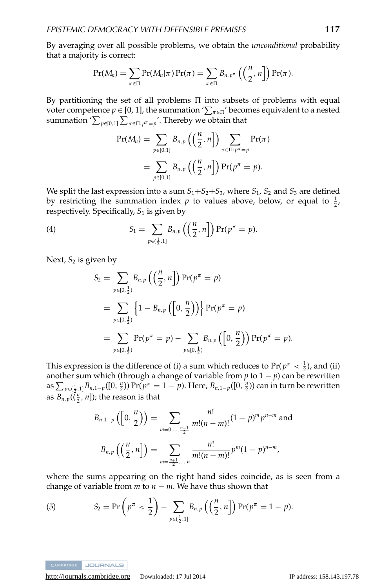By averaging over all possible problems, we obtain the *unconditional* probability that a majority is correct:

$$
\Pr(M_n) = \sum_{\pi \in \Pi} \Pr(M_n | \pi) \Pr(\pi) = \sum_{\pi \in \Pi} B_{n, p^{\pi}} \left( \left( \frac{n}{2}, n \right) \right) \Pr(\pi).
$$

By partitioning the set of all problems  $\Pi$  into subsets of problems with equal voter competence  $p \in [0, 1]$ , the summation ' $\sum_{\pi \in \Pi}$ ' becomes equivalent to a nested summation  $'\sum_{p\in[0,1]}\sum_{\pi\in\Pi: p^\pi=p}'.$  Thereby we obtain that

$$
\Pr(M_n) = \sum_{p \in [0,1]} B_{n,p} \left( \left( \frac{n}{2}, n \right] \right) \sum_{\pi \in \Pi : p^{\pi} = p} \Pr(\pi)
$$

$$
= \sum_{p \in [0,1]} B_{n,p} \left( \left( \frac{n}{2}, n \right] \right) \Pr(p^{\pi} = p).
$$

We split the last expression into a sum  $S_1 + S_2 + S_3$ , where  $S_1$ ,  $S_2$  and  $S_3$  are defined by restricting the summation index  $p$  to values above, below, or equal to  $\frac{1}{2}$ , respectively. Specifically, *S*<sup>1</sup> is given by

(4) 
$$
S_1 = \sum_{p \in (\frac{1}{2}, 1]} B_{n, p} \left( \left( \frac{n}{2}, n \right) \right) \Pr(p^{\pi} = p).
$$

Next,  $S_2$  is given by

$$
S_2 = \sum_{p \in [0, \frac{1}{2})} B_{n,p} \left( \left( \frac{n}{2}, n \right) \right) \Pr(p^{\pi} = p)
$$
  
= 
$$
\sum_{p \in [0, \frac{1}{2})} \left\{ 1 - B_{n,p} \left( \left[ 0, \frac{n}{2} \right) \right) \right\} \Pr(p^{\pi} = p)
$$
  
= 
$$
\sum_{p \in [0, \frac{1}{2})} \Pr(p^{\pi} = p) - \sum_{p \in [0, \frac{1}{2})} B_{n,p} \left( \left[ 0, \frac{n}{2} \right) \right) \Pr(p^{\pi} = p).
$$

This expression is the difference of (i) a sum which reduces to  $Pr(p^{\pi} < \frac{1}{2})$ , and (ii) another sum which (through a change of variable from  $p$  to  $1 - p$ ) can be rewritten as  $\sum_{p \in (\frac{1}{2},1]} B_{n,1-p}([0,\frac{n}{2})) \Pr(p^{\pi} = 1-p)$ . Here,  $B_{n,1-p}([0,\frac{n}{2}))$  can in turn be rewritten as  $B_{n,p}(\bar{R}_2^n, n]$ ); the reason is that

$$
B_{n,1-p}\left(\left[0,\frac{n}{2}\right)\right) = \sum_{m=0,\dots,\frac{n-1}{2}} \frac{n!}{m!(n-m)!} (1-p)^m p^{n-m} \text{ and}
$$
  

$$
B_{n,p}\left(\left(\frac{n}{2},n\right)\right) = \sum_{m=\frac{n+1}{2},\dots,n} \frac{n!}{m!(n-m)!} p^m (1-p)^{n-m},
$$

where the sums appearing on the right hand sides coincide, as is seen from a change of variable from  $m$  to  $n - m$ . We have thus shown that

(5) 
$$
S_2 = \Pr \left( p^{\pi} < \frac{1}{2} \right) - \sum_{p \in (\frac{1}{2}, 1]} B_{n, p} \left( \left( \frac{n}{2}, n \right) \right) \Pr (p^{\pi} = 1 - p).
$$

 $\textbf{CAMBRIDGE}$ **JOURNALS** 

<http://journals.cambridge.org> Downloaded: 17 Jul 2014 IP address: 158.143.197.78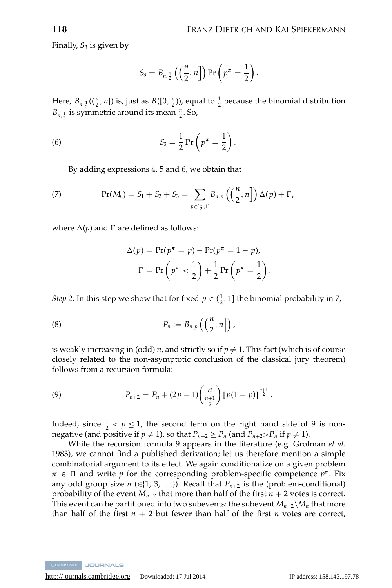Finally,  $S_3$  is given by

$$
S_3 = B_{n,\frac{1}{2}}\left(\left(\frac{n}{2},n\right)\right) \Pr\left(p^\pi = \frac{1}{2}\right).
$$

Here,  $B_{n,\frac{1}{2}}((\frac{n}{2},n])$  is, just as  $B([0,\frac{n}{2}))$ , equal to  $\frac{1}{2}$  because the binomial distribution  $B_{n,\frac{1}{2}}$  is symmetric around its mean  $\frac{n}{2}$ . So,

(6) 
$$
S_3 = \frac{1}{2} \Pr \left( p^{\pi} = \frac{1}{2} \right).
$$

By adding expressions 4, 5 and 6, we obtain that

(7) 
$$
\Pr(M_n) = S_1 + S_2 + S_3 = \sum_{p \in (\frac{1}{2}, 1]} B_{n, p} \left( \left( \frac{n}{2}, n \right) \right) \Delta(p) + \Gamma,
$$

where  $\Delta(p)$  and  $\Gamma$  are defined as follows:

$$
\Delta(p) = \Pr(p^{\pi} = p) - \Pr(p^{\pi} = 1 - p),
$$

$$
\Gamma = \Pr\left(p^{\pi} < \frac{1}{2}\right) + \frac{1}{2}\Pr\left(p^{\pi} = \frac{1}{2}\right).
$$

*Step* 2. In this step we show that for fixed  $p \in (\frac{1}{2}, 1]$  the binomial probability in 7,

(8) 
$$
P_n := B_{n,p}\left(\left(\frac{n}{2}, n\right]\right),
$$

is weakly increasing in (odd) *n*, and strictly so if  $p \neq 1$ . This fact (which is of course closely related to the non-asymptotic conclusion of the classical jury theorem) follows from a recursion formula:

(9) 
$$
P_{n+2} = P_n + (2p-1) \binom{n}{\frac{n+1}{2}} \left[ p(1-p) \right]^{\frac{n+1}{2}}.
$$

Indeed, since  $\frac{1}{2} < p \le 1$ , the second term on the right hand side of 9 is nonnegative (and positive if  $p \neq 1$ ), so that  $P_{n+2} \geq P_n$  (and  $P_{n+2} > P_n$  if  $p \neq 1$ ).

While the recursion formula 9 appears in the literature (e.g. Grofman *et al.* 1983), we cannot find a published derivation; let us therefore mention a simple combinatorial argument to its effect. We again conditionalize on a given problem  $\pi \in \Pi$  and write *p* for the corresponding problem-specific competence  $p^{\pi}$ . Fix any odd group size  $n \in \{1, 3, \ldots\}$ ). Recall that  $P_{n+2}$  is the (problem-conditional) probability of the event  $M_{n+2}$  that more than half of the first  $n + 2$  votes is correct. This event can be partitioned into two subevents: the subevent  $M_{n+2}\setminus M_n$  that more than half of the first  $n + 2$  but fewer than half of the first  $n$  votes are correct,

CAMBRIDGE JOURNALS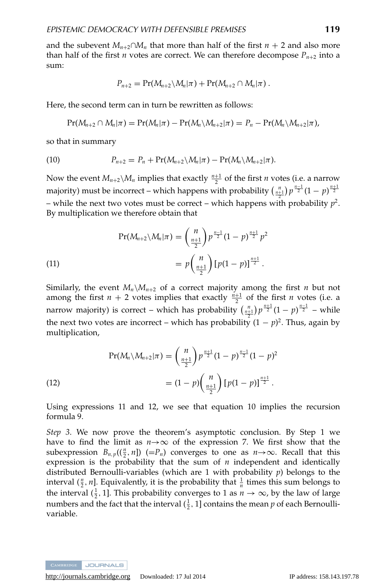and the subevent  $M_{n+2} \cap M_n$  that more than half of the first  $n + 2$  and also more than half of the first *n* votes are correct. We can therefore decompose  $P_{n+2}$  into a sum:

$$
P_{n+2} = \Pr(M_{n+2} \setminus M_n | \pi) + \Pr(M_{n+2} \cap M_n | \pi).
$$

Here, the second term can in turn be rewritten as follows:

$$
\Pr(M_{n+2}\cap M_n|\pi)=\Pr(M_n|\pi)-\Pr(M_n\backslash M_{n+2}|\pi)=P_n-\Pr(M_n\backslash M_{n+2}|\pi),
$$

so that in summary

(10) 
$$
P_{n+2} = P_n + \Pr(M_{n+2} \setminus M_n | \pi) - \Pr(M_n \setminus M_{n+2} | \pi).
$$

Now the event  $M_{n+2} \backslash M_n$  implies that exactly  $\frac{n+1}{2}$  of the first *n* votes (i.e. a narrow majority) must be incorrect – which happens with probability  $\binom{n}{n+1}p^{\frac{n-1}{2}}(1-p)^{\frac{n+1}{2}}$ – while the next two votes must be correct – which happens with probability  $p^2$ . By multiplication we therefore obtain that

(11)  

$$
\Pr(M_{n+2} \setminus M_n | \pi) = {n \choose \frac{n+1}{2}} p^{\frac{n-1}{2}} (1-p)^{\frac{n+1}{2}} p^2
$$

$$
= p {n \choose \frac{n+1}{2}} [p(1-p)]^{\frac{n+1}{2}}.
$$

Similarly, the event  $M_n \setminus M_{n+2}$  of a correct majority among the first *n* but not among the first  $n + 2$  votes implies that exactly  $\frac{n+1}{2}$  of the first *n* votes (i.e. a narrow majority) is correct – which has probability  $\binom{n}{\frac{n+1}{2}} p^{\frac{n+1}{2}} (1-p)^{\frac{n-1}{2}}$  – while the next two votes are incorrect – which has probability  $(1 - p)^2$ . Thus, again by multiplication,

(12) 
$$
\Pr(M_n \setminus M_{n+2} | \pi) = {n \choose \frac{n+1}{2}} p^{\frac{n+1}{2}} (1-p)^{\frac{n-1}{2}} (1-p)^2
$$

$$
= (1-p) {n \choose \frac{n+1}{2}} [p(1-p)]^{\frac{n+1}{2}}.
$$

Using expressions 11 and 12, we see that equation 10 implies the recursion formula 9.

*Step 3*. We now prove the theorem's asymptotic conclusion. By Step 1 we have to find the limit as  $n \rightarrow \infty$  of the expression 7. We first show that the subexpression  $B_{n,p}((\frac{n}{2}, n])$  (= $P_n$ ) converges to one as  $n \rightarrow \infty$ . Recall that this expression is the probability that the sum of *n* independent and identically distributed Bernoulli-variables (which are 1 with probability *p*) belongs to the interval  $(\frac{n}{2}, n]$ . Equivalently, it is the probability that  $\frac{1}{n}$  times this sum belongs to the interval  $(\frac{1}{2}, 1]$ . This probability converges to 1 as  $n \to \infty$ , by the law of large numbers and the fact that the interval  $(\frac{1}{2}, 1]$  contains the mean *p* of each Bernoullivariable.